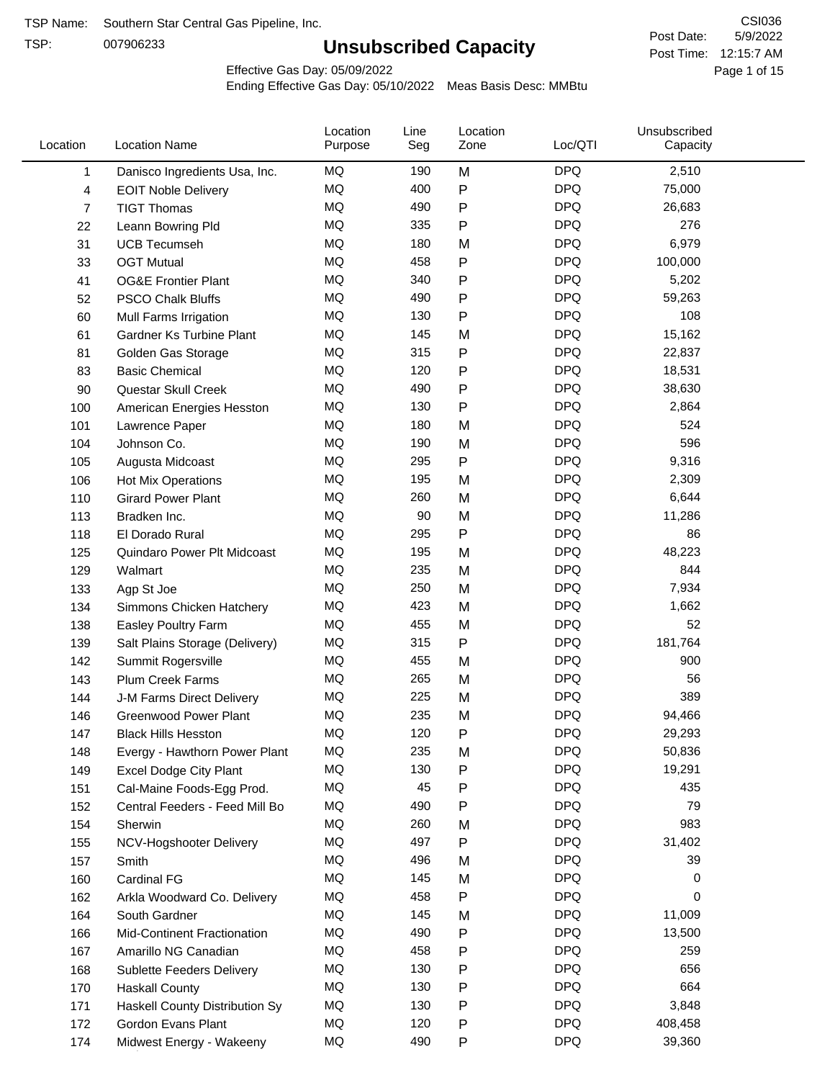TSP:

# **Unsubscribed Capacity**

5/9/2022 Page 1 of 15 Post Time: 12:15:7 AM CSI036 Post Date:

Effective Gas Day: 05/09/2022

| Location     | <b>Location Name</b>               | Location<br>Purpose | Line<br>Seg | Location<br>Zone | Loc/QTI    | Unsubscribed<br>Capacity |  |
|--------------|------------------------------------|---------------------|-------------|------------------|------------|--------------------------|--|
| $\mathbf{1}$ | Danisco Ingredients Usa, Inc.      | MQ                  | 190         | M                | <b>DPQ</b> | 2,510                    |  |
| 4            | <b>EOIT Noble Delivery</b>         | MQ                  | 400         | P                | <b>DPQ</b> | 75,000                   |  |
| 7            | <b>TIGT Thomas</b>                 | <b>MQ</b>           | 490         | P                | <b>DPQ</b> | 26,683                   |  |
| 22           | Leann Bowring Pld                  | MQ                  | 335         | P                | <b>DPQ</b> | 276                      |  |
| 31           | <b>UCB Tecumseh</b>                | <b>MQ</b>           | 180         | M                | <b>DPQ</b> | 6,979                    |  |
| 33           | <b>OGT Mutual</b>                  | <b>MQ</b>           | 458         | P                | <b>DPQ</b> | 100,000                  |  |
| 41           | <b>OG&amp;E Frontier Plant</b>     | MQ                  | 340         | P                | <b>DPQ</b> | 5,202                    |  |
| 52           | <b>PSCO Chalk Bluffs</b>           | MQ                  | 490         | Ρ                | <b>DPQ</b> | 59,263                   |  |
| 60           | Mull Farms Irrigation              | MQ                  | 130         | Ρ                | <b>DPQ</b> | 108                      |  |
| 61           | Gardner Ks Turbine Plant           | <b>MQ</b>           | 145         | M                | <b>DPQ</b> | 15,162                   |  |
| 81           | Golden Gas Storage                 | MQ                  | 315         | P                | <b>DPQ</b> | 22,837                   |  |
| 83           | <b>Basic Chemical</b>              | <b>MQ</b>           | 120         | P                | <b>DPQ</b> | 18,531                   |  |
| 90           | Questar Skull Creek                | MQ                  | 490         | P                | <b>DPQ</b> | 38,630                   |  |
| 100          | American Energies Hesston          | <b>MQ</b>           | 130         | P                | <b>DPQ</b> | 2,864                    |  |
| 101          | Lawrence Paper                     | <b>MQ</b>           | 180         | M                | <b>DPQ</b> | 524                      |  |
| 104          | Johnson Co.                        | MQ                  | 190         | M                | <b>DPQ</b> | 596                      |  |
| 105          | Augusta Midcoast                   | MQ                  | 295         | P                | <b>DPQ</b> | 9,316                    |  |
| 106          | Hot Mix Operations                 | MQ                  | 195         | M                | <b>DPQ</b> | 2,309                    |  |
| 110          | <b>Girard Power Plant</b>          | <b>MQ</b>           | 260         | M                | <b>DPQ</b> | 6,644                    |  |
| 113          | Bradken Inc.                       | MQ                  | 90          | M                | <b>DPQ</b> | 11,286                   |  |
| 118          | El Dorado Rural                    | MQ                  | 295         | P                | <b>DPQ</b> | 86                       |  |
| 125          | Quindaro Power Plt Midcoast        | MQ                  | 195         | M                | <b>DPQ</b> | 48,223                   |  |
| 129          | Walmart                            | <b>MQ</b>           | 235         | M                | <b>DPQ</b> | 844                      |  |
| 133          | Agp St Joe                         | <b>MQ</b>           | 250         | M                | <b>DPQ</b> | 7,934                    |  |
| 134          | Simmons Chicken Hatchery           | MQ                  | 423         | M                | <b>DPQ</b> | 1,662                    |  |
| 138          | Easley Poultry Farm                | MQ                  | 455         | M                | <b>DPQ</b> | 52                       |  |
| 139          | Salt Plains Storage (Delivery)     | MQ                  | 315         | P                | <b>DPQ</b> | 181,764                  |  |
| 142          | Summit Rogersville                 | MQ                  | 455         | M                | <b>DPQ</b> | 900                      |  |
| 143          | <b>Plum Creek Farms</b>            | MQ                  | 265         | M                | <b>DPQ</b> | 56                       |  |
| 144          | J-M Farms Direct Delivery          | MQ                  | 225         | M                | <b>DPQ</b> | 389                      |  |
| 146          | <b>Greenwood Power Plant</b>       | <b>MQ</b>           | 235         | M                | <b>DPQ</b> | 94,466                   |  |
| 147          | <b>Black Hills Hesston</b>         | MQ                  | 120         | P                | <b>DPQ</b> | 29,293                   |  |
| 148          | Evergy - Hawthorn Power Plant      | ΜQ                  | 235         | M                | <b>DPQ</b> | 50,836                   |  |
| 149          | <b>Excel Dodge City Plant</b>      | MQ                  | 130         | Ρ                | <b>DPQ</b> | 19,291                   |  |
| 151          | Cal-Maine Foods-Egg Prod.          | MQ                  | 45          | P                | <b>DPQ</b> | 435                      |  |
| 152          | Central Feeders - Feed Mill Bo     | MQ                  | 490         | Ρ                | <b>DPQ</b> | 79                       |  |
| 154          | Sherwin                            | MQ                  | 260         | M                | <b>DPQ</b> | 983                      |  |
| 155          | NCV-Hogshooter Delivery            | MQ                  | 497         | P                | <b>DPQ</b> | 31,402                   |  |
| 157          | Smith                              | MQ                  | 496         | M                | <b>DPQ</b> | 39                       |  |
| 160          | <b>Cardinal FG</b>                 | MQ                  | 145         | M                | <b>DPQ</b> | 0                        |  |
| 162          | Arkla Woodward Co. Delivery        | MQ                  | 458         | Ρ                | <b>DPQ</b> | 0                        |  |
| 164          | South Gardner                      | MQ                  | 145         | M                | <b>DPQ</b> | 11,009                   |  |
| 166          | <b>Mid-Continent Fractionation</b> | MQ                  | 490         | Ρ                | <b>DPQ</b> | 13,500                   |  |
| 167          | Amarillo NG Canadian               | MQ                  | 458         | Ρ                | <b>DPQ</b> | 259                      |  |
| 168          | Sublette Feeders Delivery          | MQ                  | 130         | Ρ                | <b>DPQ</b> | 656                      |  |
| 170          | <b>Haskall County</b>              | MQ                  | 130         | Ρ                | <b>DPQ</b> | 664                      |  |
| 171          | Haskell County Distribution Sy     | MQ                  | 130         | Ρ                | <b>DPQ</b> | 3,848                    |  |
| 172          | Gordon Evans Plant                 | MQ                  | 120         | Ρ                | <b>DPQ</b> | 408,458                  |  |
| 174          | Midwest Energy - Wakeeny           | MQ                  | 490         | P                | <b>DPQ</b> | 39,360                   |  |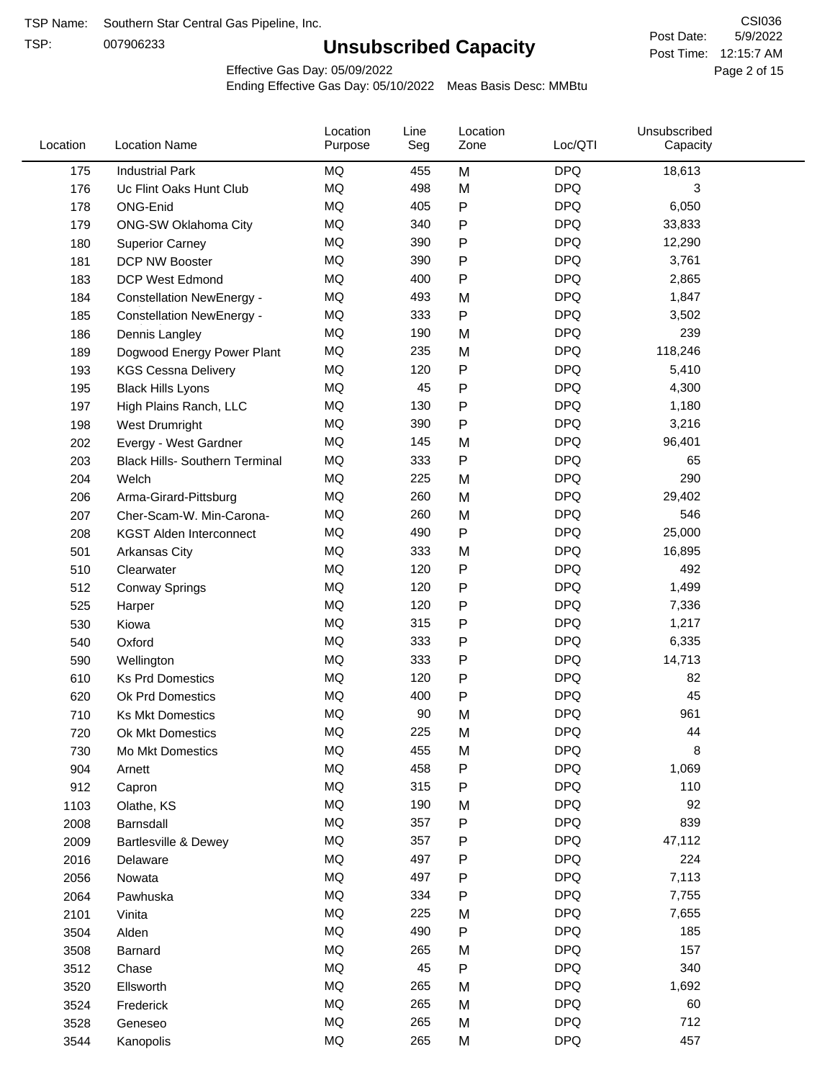TSP:

# **Unsubscribed Capacity**

5/9/2022 Page 2 of 15 Post Time: 12:15:7 AM CSI036 Post Date:

Effective Gas Day: 05/09/2022

| Location | <b>Location Name</b>                  | Location<br>Purpose | Line<br>Seg | Location<br>Zone | Loc/QTI    | Unsubscribed<br>Capacity |  |
|----------|---------------------------------------|---------------------|-------------|------------------|------------|--------------------------|--|
| 175      | <b>Industrial Park</b>                | MQ                  | 455         | M                | <b>DPQ</b> | 18,613                   |  |
| 176      | Uc Flint Oaks Hunt Club               | MQ                  | 498         | M                | <b>DPQ</b> | 3                        |  |
| 178      | ONG-Enid                              | MQ                  | 405         | P                | <b>DPQ</b> | 6,050                    |  |
| 179      | <b>ONG-SW Oklahoma City</b>           | <b>MQ</b>           | 340         | P                | <b>DPQ</b> | 33,833                   |  |
| 180      | <b>Superior Carney</b>                | <b>MQ</b>           | 390         | Ρ                | <b>DPQ</b> | 12,290                   |  |
| 181      | DCP NW Booster                        | <b>MQ</b>           | 390         | P                | <b>DPQ</b> | 3,761                    |  |
| 183      | <b>DCP West Edmond</b>                | <b>MQ</b>           | 400         | P                | <b>DPQ</b> | 2,865                    |  |
| 184      | <b>Constellation NewEnergy -</b>      | MQ                  | 493         | M                | <b>DPQ</b> | 1,847                    |  |
| 185      | <b>Constellation NewEnergy -</b>      | MQ                  | 333         | P                | <b>DPQ</b> | 3,502                    |  |
| 186      | Dennis Langley                        | <b>MQ</b>           | 190         | M                | <b>DPQ</b> | 239                      |  |
| 189      | Dogwood Energy Power Plant            | MQ                  | 235         | M                | <b>DPQ</b> | 118,246                  |  |
| 193      | <b>KGS Cessna Delivery</b>            | MQ                  | 120         | P                | <b>DPQ</b> | 5,410                    |  |
| 195      | <b>Black Hills Lyons</b>              | <b>MQ</b>           | 45          | P                | <b>DPQ</b> | 4,300                    |  |
| 197      | High Plains Ranch, LLC                | <b>MQ</b>           | 130         | Ρ                | <b>DPQ</b> | 1,180                    |  |
| 198      | West Drumright                        | <b>MQ</b>           | 390         | P                | <b>DPQ</b> | 3,216                    |  |
| 202      | Evergy - West Gardner                 | <b>MQ</b>           | 145         | M                | <b>DPQ</b> | 96,401                   |  |
| 203      | <b>Black Hills- Southern Terminal</b> | MQ                  | 333         | P                | <b>DPQ</b> | 65                       |  |
| 204      | Welch                                 | MQ                  | 225         | M                | <b>DPQ</b> | 290                      |  |
| 206      | Arma-Girard-Pittsburg                 | MQ                  | 260         | M                | <b>DPQ</b> | 29,402                   |  |
| 207      | Cher-Scam-W. Min-Carona-              | MQ                  | 260         | M                | <b>DPQ</b> | 546                      |  |
| 208      | <b>KGST Alden Interconnect</b>        | <b>MQ</b>           | 490         | P                | <b>DPQ</b> | 25,000                   |  |
| 501      | <b>Arkansas City</b>                  | MQ                  | 333         | M                | <b>DPQ</b> | 16,895                   |  |
| 510      | Clearwater                            | <b>MQ</b>           | 120         | P                | <b>DPQ</b> | 492                      |  |
| 512      | <b>Conway Springs</b>                 | <b>MQ</b>           | 120         | P                | <b>DPQ</b> | 1,499                    |  |
| 525      | Harper                                | <b>MQ</b>           | 120         | P                | <b>DPQ</b> | 7,336                    |  |
| 530      | Kiowa                                 | MQ                  | 315         | P                | <b>DPQ</b> | 1,217                    |  |
| 540      | Oxford                                | <b>MQ</b>           | 333         | Ρ                | <b>DPQ</b> | 6,335                    |  |
| 590      | Wellington                            | <b>MQ</b>           | 333         | Ρ                | <b>DPQ</b> | 14,713                   |  |
| 610      | <b>Ks Prd Domestics</b>               | <b>MQ</b>           | 120         | P                | <b>DPQ</b> | 82                       |  |
| 620      | Ok Prd Domestics                      | MQ                  | 400         | P                | <b>DPQ</b> | 45                       |  |
| 710      | <b>Ks Mkt Domestics</b>               | <b>MQ</b>           | 90          | M                | <b>DPQ</b> | 961                      |  |
| 720      | Ok Mkt Domestics                      | MQ                  | 225         | M                | <b>DPQ</b> | 44                       |  |
| 730      | Mo Mkt Domestics                      | MQ                  | 455         | M                | <b>DPQ</b> | 8                        |  |
| 904      | Arnett                                | $\sf{MQ}$           | 458         | Ρ                | <b>DPQ</b> | 1,069                    |  |
| 912      | Capron                                | $\sf{MQ}$           | 315         | Ρ                | <b>DPQ</b> | 110                      |  |
| 1103     | Olathe, KS                            | $\sf{MQ}$           | 190         | M                | <b>DPQ</b> | 92                       |  |
| 2008     | Barnsdall                             | MQ                  | 357         | Ρ                | <b>DPQ</b> | 839                      |  |
| 2009     | Bartlesville & Dewey                  | MQ                  | 357         | Ρ                | <b>DPQ</b> | 47,112                   |  |
| 2016     | Delaware                              | MQ                  | 497         | P                | <b>DPQ</b> | 224                      |  |
| 2056     | Nowata                                | MQ                  | 497         | Ρ                | <b>DPQ</b> | 7,113                    |  |
| 2064     | Pawhuska                              | $\sf{MQ}$           | 334         | Ρ                | <b>DPQ</b> | 7,755                    |  |
| 2101     | Vinita                                | MQ                  | 225         | M                | <b>DPQ</b> | 7,655                    |  |
| 3504     | Alden                                 | $\sf{MQ}$           | 490         | Ρ                | <b>DPQ</b> | 185                      |  |
| 3508     | Barnard                               | $\sf{MQ}$           | 265         | M                | <b>DPQ</b> | 157                      |  |
| 3512     | Chase                                 | $\sf{MQ}$           | 45          | Ρ                | <b>DPQ</b> | 340                      |  |
| 3520     | Ellsworth                             | MQ                  | 265         | M                | <b>DPQ</b> | 1,692                    |  |
| 3524     | Frederick                             | MQ                  | 265         | M                | <b>DPQ</b> | 60                       |  |
| 3528     | Geneseo                               | $\sf{MQ}$           | 265         | M                | <b>DPQ</b> | 712                      |  |
| 3544     | Kanopolis                             | $\sf{MQ}$           | 265         | M                | <b>DPQ</b> | 457                      |  |
|          |                                       |                     |             |                  |            |                          |  |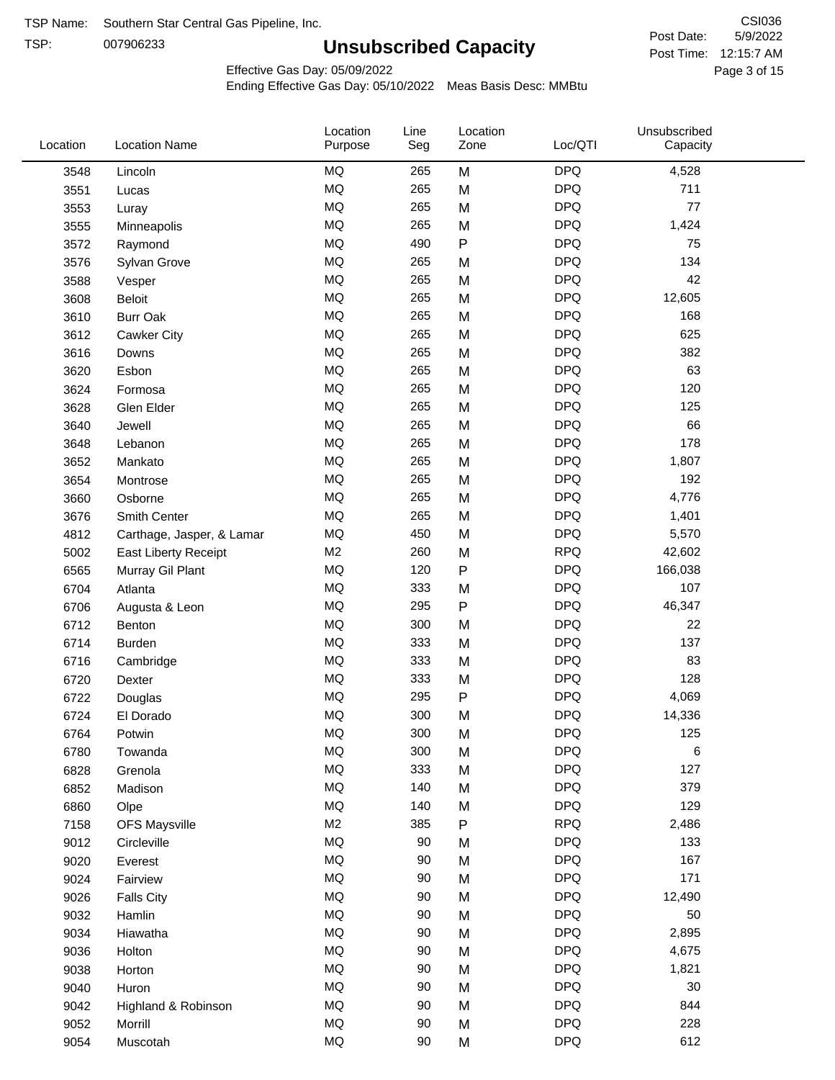TSP: 

# **Unsubscribed Capacity**

5/9/2022 Page 3 of 15 Post Time: 12:15:7 AM CSI036 Post Date:

Effective Gas Day: 05/09/2022

| Location | <b>Location Name</b>      | Location<br>Purpose | Line<br>Seg | Location<br>Zone | Loc/QTI    | Unsubscribed<br>Capacity |  |
|----------|---------------------------|---------------------|-------------|------------------|------------|--------------------------|--|
| 3548     | Lincoln                   | <b>MQ</b>           | 265         | M                | <b>DPQ</b> | 4,528                    |  |
| 3551     | Lucas                     | <b>MQ</b>           | 265         | M                | <b>DPQ</b> | 711                      |  |
| 3553     | Luray                     | MQ                  | 265         | M                | <b>DPQ</b> | 77                       |  |
| 3555     | Minneapolis               | <b>MQ</b>           | 265         | M                | <b>DPQ</b> | 1,424                    |  |
| 3572     | Raymond                   | <b>MQ</b>           | 490         | $\mathsf{P}$     | <b>DPQ</b> | 75                       |  |
| 3576     | Sylvan Grove              | <b>MQ</b>           | 265         | M                | <b>DPQ</b> | 134                      |  |
| 3588     | Vesper                    | MQ                  | 265         | M                | <b>DPQ</b> | 42                       |  |
| 3608     | <b>Beloit</b>             | MQ                  | 265         | M                | <b>DPQ</b> | 12,605                   |  |
| 3610     | <b>Burr Oak</b>           | <b>MQ</b>           | 265         | M                | <b>DPQ</b> | 168                      |  |
| 3612     | Cawker City               | <b>MQ</b>           | 265         | M                | <b>DPQ</b> | 625                      |  |
| 3616     | Downs                     | MQ                  | 265         | M                | <b>DPQ</b> | 382                      |  |
| 3620     | Esbon                     | MQ                  | 265         | M                | <b>DPQ</b> | 63                       |  |
| 3624     | Formosa                   | MQ                  | 265         | M                | <b>DPQ</b> | 120                      |  |
| 3628     | Glen Elder                | <b>MQ</b>           | 265         | M                | <b>DPQ</b> | 125                      |  |
| 3640     | Jewell                    | <b>MQ</b>           | 265         | M                | <b>DPQ</b> | 66                       |  |
| 3648     | Lebanon                   | <b>MQ</b>           | 265         | M                | <b>DPQ</b> | 178                      |  |
| 3652     | Mankato                   | MQ                  | 265         | M                | <b>DPQ</b> | 1,807                    |  |
| 3654     | Montrose                  | MQ                  | 265         | M                | <b>DPQ</b> | 192                      |  |
| 3660     | Osborne                   | MQ                  | 265         | M                | <b>DPQ</b> | 4,776                    |  |
| 3676     | Smith Center              | MQ                  | 265         | M                | <b>DPQ</b> | 1,401                    |  |
| 4812     | Carthage, Jasper, & Lamar | MQ                  | 450         | M                | <b>DPQ</b> | 5,570                    |  |
| 5002     | East Liberty Receipt      | M <sub>2</sub>      | 260         | M                | <b>RPQ</b> | 42,602                   |  |
| 6565     | Murray Gil Plant          | <b>MQ</b>           | 120         | P                | <b>DPQ</b> | 166,038                  |  |
| 6704     | Atlanta                   | <b>MQ</b>           | 333         | M                | <b>DPQ</b> | 107                      |  |
| 6706     | Augusta & Leon            | MQ                  | 295         | ${\sf P}$        | <b>DPQ</b> | 46,347                   |  |
| 6712     | Benton                    | MQ                  | 300         | M                | <b>DPQ</b> | 22                       |  |
| 6714     | Burden                    | MQ                  | 333         | M                | <b>DPQ</b> | 137                      |  |
| 6716     | Cambridge                 | MQ                  | 333         | M                | <b>DPQ</b> | 83                       |  |
| 6720     | <b>Dexter</b>             | MQ                  | 333         | M                | <b>DPQ</b> | 128                      |  |
| 6722     | Douglas                   | <b>MQ</b>           | 295         | ${\sf P}$        | <b>DPQ</b> | 4,069                    |  |
| 6724     | El Dorado                 | <b>MQ</b>           | 300         | M                | <b>DPQ</b> | 14,336                   |  |
| 6764     | Potwin                    | <b>MQ</b>           | 300         | M                | <b>DPQ</b> | 125                      |  |
| 6780     | Towanda                   | MQ                  | 300         | M                | <b>DPQ</b> | 6                        |  |
| 6828     | Grenola                   | MQ                  | 333         | M                | <b>DPQ</b> | 127                      |  |
| 6852     | Madison                   | MQ                  | 140         | M                | <b>DPQ</b> | 379                      |  |
| 6860     | Olpe                      | <b>MQ</b>           | 140         | M                | <b>DPQ</b> | 129                      |  |
| 7158     | <b>OFS Maysville</b>      | M <sub>2</sub>      | 385         | ${\sf P}$        | <b>RPQ</b> | 2,486                    |  |
| 9012     | Circleville               | MQ                  | 90          | M                | <b>DPQ</b> | 133                      |  |
| 9020     | Everest                   | MQ                  | 90          | M                | <b>DPQ</b> | 167                      |  |
| 9024     | Fairview                  | MQ                  | 90          | M                | <b>DPQ</b> | 171                      |  |
| 9026     | <b>Falls City</b>         | MQ                  | 90          | M                | <b>DPQ</b> | 12,490                   |  |
| 9032     | Hamlin                    | MQ                  | 90          | M                | <b>DPQ</b> | 50                       |  |
| 9034     | Hiawatha                  | MQ                  | 90          | M                | <b>DPQ</b> | 2,895                    |  |
| 9036     | Holton                    | <b>MQ</b>           | 90          | M                | <b>DPQ</b> | 4,675                    |  |
| 9038     | Horton                    | <b>MQ</b>           | 90          | M                | <b>DPQ</b> | 1,821                    |  |
| 9040     | Huron                     | MQ                  | 90          | M                | <b>DPQ</b> | 30                       |  |
| 9042     | Highland & Robinson       | MQ                  | 90          | M                | <b>DPQ</b> | 844                      |  |
| 9052     | Morrill                   | MQ                  | 90          | M                | <b>DPQ</b> | 228                      |  |
| 9054     | Muscotah                  | MQ                  | 90          | M                | <b>DPQ</b> | 612                      |  |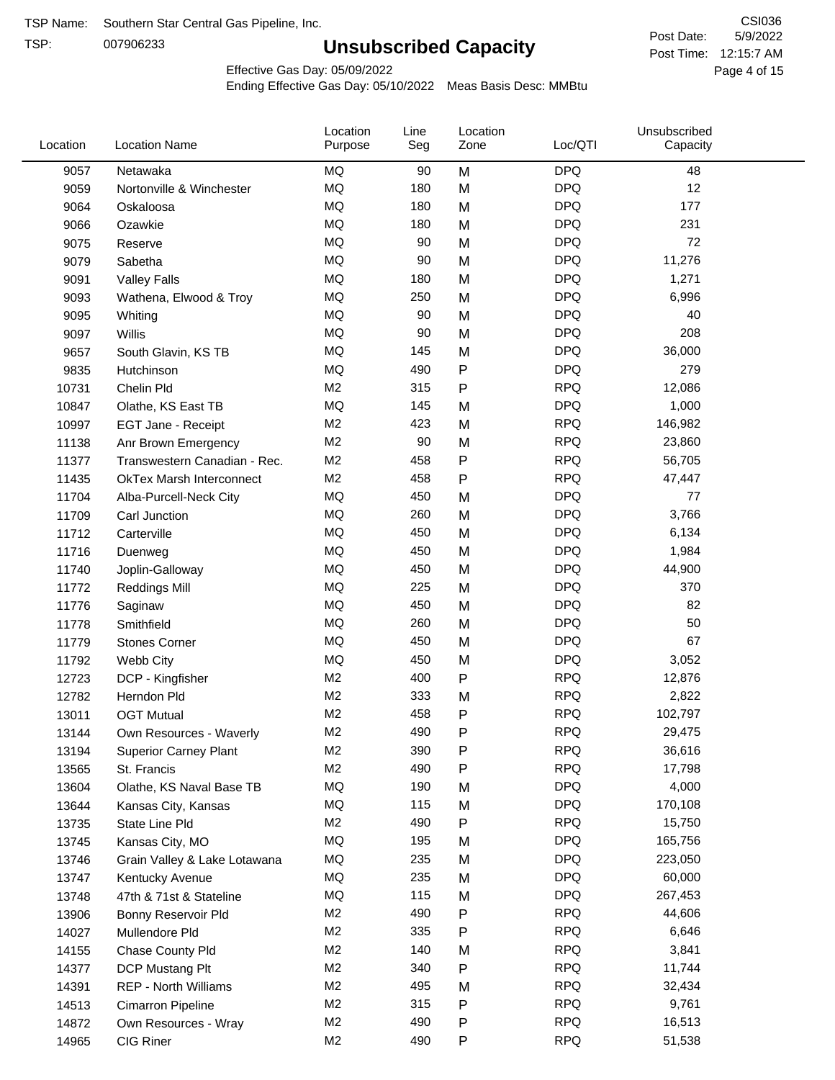TSP:

# **Unsubscribed Capacity**

5/9/2022 Page 4 of 15 Post Time: 12:15:7 AM CSI036 Post Date:

Effective Gas Day: 05/09/2022

| Location | <b>Location Name</b>            | Location<br>Purpose | Line<br>Seg | Location<br>Zone | Loc/QTI    | Unsubscribed<br>Capacity |  |
|----------|---------------------------------|---------------------|-------------|------------------|------------|--------------------------|--|
| 9057     | Netawaka                        | MQ                  | 90          | M                | <b>DPQ</b> | 48                       |  |
| 9059     | Nortonville & Winchester        | MQ                  | 180         | M                | <b>DPQ</b> | 12                       |  |
| 9064     | Oskaloosa                       | MQ                  | 180         | M                | <b>DPQ</b> | 177                      |  |
| 9066     | Ozawkie                         | <b>MQ</b>           | 180         | M                | <b>DPQ</b> | 231                      |  |
| 9075     | Reserve                         | <b>MQ</b>           | 90          | M                | <b>DPQ</b> | 72                       |  |
| 9079     | Sabetha                         | <b>MQ</b>           | 90          | M                | <b>DPQ</b> | 11,276                   |  |
| 9091     | <b>Valley Falls</b>             | <b>MQ</b>           | 180         | M                | <b>DPQ</b> | 1,271                    |  |
| 9093     | Wathena, Elwood & Troy          | <b>MQ</b>           | 250         | M                | <b>DPQ</b> | 6,996                    |  |
| 9095     | Whiting                         | MQ                  | 90          | M                | <b>DPQ</b> | 40                       |  |
| 9097     | Willis                          | <b>MQ</b>           | 90          | M                | <b>DPQ</b> | 208                      |  |
| 9657     | South Glavin, KS TB             | MQ                  | 145         | M                | <b>DPQ</b> | 36,000                   |  |
| 9835     | Hutchinson                      | MQ                  | 490         | ${\sf P}$        | <b>DPQ</b> | 279                      |  |
| 10731    | Chelin Pld                      | M <sub>2</sub>      | 315         | P                | <b>RPQ</b> | 12,086                   |  |
| 10847    | Olathe, KS East TB              | <b>MQ</b>           | 145         | M                | <b>DPQ</b> | 1,000                    |  |
| 10997    | EGT Jane - Receipt              | M <sub>2</sub>      | 423         | M                | <b>RPQ</b> | 146,982                  |  |
| 11138    | Anr Brown Emergency             | M <sub>2</sub>      | 90          | M                | <b>RPQ</b> | 23,860                   |  |
| 11377    | Transwestern Canadian - Rec.    | M <sub>2</sub>      | 458         | P                | <b>RPQ</b> | 56,705                   |  |
| 11435    | <b>OkTex Marsh Interconnect</b> | M2                  | 458         | $\mathsf{P}$     | <b>RPQ</b> | 47,447                   |  |
| 11704    | Alba-Purcell-Neck City          | MQ                  | 450         | M                | <b>DPQ</b> | 77                       |  |
| 11709    | Carl Junction                   | <b>MQ</b>           | 260         | M                | <b>DPQ</b> | 3,766                    |  |
| 11712    | Carterville                     | MQ                  | 450         | M                | <b>DPQ</b> | 6,134                    |  |
| 11716    | Duenweg                         | <b>MQ</b>           | 450         | M                | <b>DPQ</b> | 1,984                    |  |
| 11740    | Joplin-Galloway                 | <b>MQ</b>           | 450         | M                | <b>DPQ</b> | 44,900                   |  |
| 11772    | <b>Reddings Mill</b>            | <b>MQ</b>           | 225         | M                | <b>DPQ</b> | 370                      |  |
| 11776    | Saginaw                         | <b>MQ</b>           | 450         | M                | <b>DPQ</b> | 82                       |  |
| 11778    | Smithfield                      | MQ                  | 260         | M                | <b>DPQ</b> | 50                       |  |
| 11779    | <b>Stones Corner</b>            | <b>MQ</b>           | 450         | M                | <b>DPQ</b> | 67                       |  |
| 11792    | Webb City                       | <b>MQ</b>           | 450         | M                | <b>DPQ</b> | 3,052                    |  |
| 12723    | DCP - Kingfisher                | M <sub>2</sub>      | 400         | ${\sf P}$        | <b>RPQ</b> | 12,876                   |  |
| 12782    | Herndon Pld                     | M <sub>2</sub>      | 333         | M                | <b>RPQ</b> | 2,822                    |  |
| 13011    | <b>OGT Mutual</b>               | M <sub>2</sub>      | 458         | P                | <b>RPQ</b> | 102,797                  |  |
| 13144    | Own Resources - Waverly         | M <sub>2</sub>      | 490         | P                | <b>RPQ</b> | 29,475                   |  |
| 13194    | <b>Superior Carney Plant</b>    | M <sub>2</sub>      | 390         | P                | <b>RPQ</b> | 36,616                   |  |
| 13565    | St. Francis                     | M <sub>2</sub>      | 490         | P                | <b>RPQ</b> | 17,798                   |  |
| 13604    | Olathe, KS Naval Base TB        | MQ                  | 190         | M                | <b>DPQ</b> | 4,000                    |  |
| 13644    | Kansas City, Kansas             | MQ                  | 115         | M                | <b>DPQ</b> | 170,108                  |  |
| 13735    | State Line Pld                  | M <sub>2</sub>      | 490         | P                | <b>RPQ</b> | 15,750                   |  |
| 13745    | Kansas City, MO                 | MQ                  | 195         | M                | <b>DPQ</b> | 165,756                  |  |
| 13746    | Grain Valley & Lake Lotawana    | MQ                  | 235         | M                | <b>DPQ</b> | 223,050                  |  |
| 13747    | Kentucky Avenue                 | MQ                  | 235         | M                | <b>DPQ</b> | 60,000                   |  |
| 13748    | 47th & 71st & Stateline         | MQ                  | 115         | M                | <b>DPQ</b> | 267,453                  |  |
| 13906    | Bonny Reservoir Pld             | M2                  | 490         | P                | <b>RPQ</b> | 44,606                   |  |
| 14027    | Mullendore Pld                  | M <sub>2</sub>      | 335         | P                | <b>RPQ</b> | 6,646                    |  |
| 14155    | Chase County Pld                | M <sub>2</sub>      | 140         | M                | <b>RPQ</b> | 3,841                    |  |
| 14377    | DCP Mustang Plt                 | M <sub>2</sub>      | 340         | P                | <b>RPQ</b> | 11,744                   |  |
| 14391    | <b>REP - North Williams</b>     | M <sub>2</sub>      | 495         | M                | <b>RPQ</b> | 32,434                   |  |
| 14513    | Cimarron Pipeline               | M <sub>2</sub>      | 315         | ${\sf P}$        | <b>RPQ</b> | 9,761                    |  |
| 14872    | Own Resources - Wray            | M <sub>2</sub>      | 490         | P                | <b>RPQ</b> | 16,513                   |  |
| 14965    | CIG Riner                       | M <sub>2</sub>      | 490         | P                | <b>RPQ</b> | 51,538                   |  |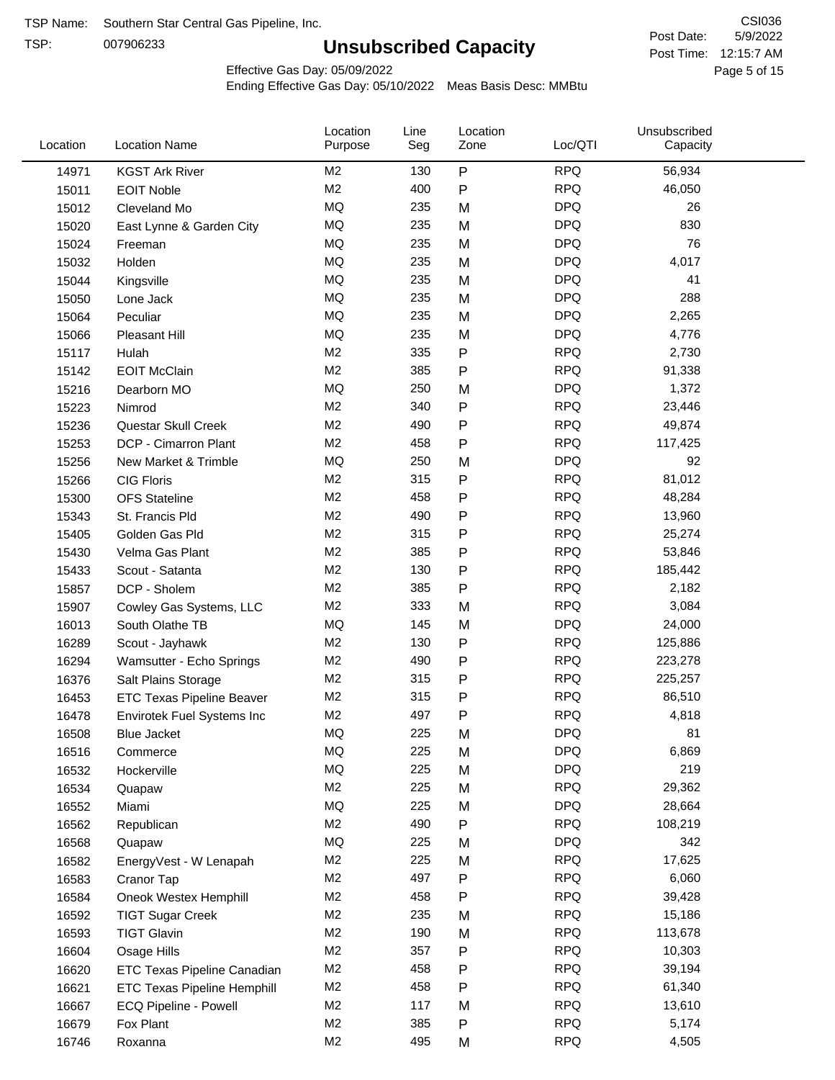TSP:

# **Unsubscribed Capacity**

5/9/2022 Page 5 of 15 Post Time: 12:15:7 AM CSI036 Post Date:

Effective Gas Day: 05/09/2022

| Location | <b>Location Name</b>               | Location<br>Purpose | Line<br>Seg | Location<br>Zone | Loc/QTI    | Unsubscribed<br>Capacity |  |
|----------|------------------------------------|---------------------|-------------|------------------|------------|--------------------------|--|
| 14971    | <b>KGST Ark River</b>              | M <sub>2</sub>      | 130         | ${\sf P}$        | <b>RPQ</b> | 56,934                   |  |
| 15011    | <b>EOIT Noble</b>                  | M <sub>2</sub>      | 400         | P                | <b>RPQ</b> | 46,050                   |  |
| 15012    | Cleveland Mo                       | <b>MQ</b>           | 235         | M                | <b>DPQ</b> | 26                       |  |
| 15020    | East Lynne & Garden City           | MQ                  | 235         | M                | <b>DPQ</b> | 830                      |  |
| 15024    | Freeman                            | MQ                  | 235         | M                | <b>DPQ</b> | 76                       |  |
| 15032    | Holden                             | MQ                  | 235         | M                | <b>DPQ</b> | 4,017                    |  |
| 15044    | Kingsville                         | MQ                  | 235         | M                | <b>DPQ</b> | 41                       |  |
| 15050    | Lone Jack                          | MQ                  | 235         | M                | <b>DPQ</b> | 288                      |  |
| 15064    | Peculiar                           | MQ                  | 235         | M                | <b>DPQ</b> | 2,265                    |  |
| 15066    | Pleasant Hill                      | MQ                  | 235         | M                | <b>DPQ</b> | 4,776                    |  |
| 15117    | Hulah                              | M <sub>2</sub>      | 335         | P                | <b>RPQ</b> | 2,730                    |  |
| 15142    | <b>EOIT McClain</b>                | M <sub>2</sub>      | 385         | P                | <b>RPQ</b> | 91,338                   |  |
| 15216    | Dearborn MO                        | MQ                  | 250         | M                | <b>DPQ</b> | 1,372                    |  |
| 15223    | Nimrod                             | M <sub>2</sub>      | 340         | P                | <b>RPQ</b> | 23,446                   |  |
| 15236    | Questar Skull Creek                | M <sub>2</sub>      | 490         | P                | <b>RPQ</b> | 49,874                   |  |
| 15253    | DCP - Cimarron Plant               | M <sub>2</sub>      | 458         | P                | <b>RPQ</b> | 117,425                  |  |
| 15256    | New Market & Trimble               | <b>MQ</b>           | 250         | M                | <b>DPQ</b> | 92                       |  |
| 15266    | <b>CIG Floris</b>                  | M <sub>2</sub>      | 315         | P                | <b>RPQ</b> | 81,012                   |  |
| 15300    | <b>OFS Stateline</b>               | M <sub>2</sub>      | 458         | P                | <b>RPQ</b> | 48,284                   |  |
| 15343    | St. Francis Pld                    | M <sub>2</sub>      | 490         | P                | <b>RPQ</b> | 13,960                   |  |
| 15405    | Golden Gas Pld                     | M <sub>2</sub>      | 315         | P                | <b>RPQ</b> | 25,274                   |  |
| 15430    | Velma Gas Plant                    | M <sub>2</sub>      | 385         | P                | <b>RPQ</b> | 53,846                   |  |
| 15433    | Scout - Satanta                    | M <sub>2</sub>      | 130         | P                | <b>RPQ</b> | 185,442                  |  |
| 15857    | DCP - Sholem                       | M <sub>2</sub>      | 385         | P                | <b>RPQ</b> | 2,182                    |  |
| 15907    | Cowley Gas Systems, LLC            | M <sub>2</sub>      | 333         | M                | <b>RPQ</b> | 3,084                    |  |
| 16013    | South Olathe TB                    | MQ                  | 145         | M                | <b>DPQ</b> | 24,000                   |  |
| 16289    | Scout - Jayhawk                    | M <sub>2</sub>      | 130         | P                | <b>RPQ</b> | 125,886                  |  |
| 16294    | Wamsutter - Echo Springs           | M <sub>2</sub>      | 490         | P                | <b>RPQ</b> | 223,278                  |  |
| 16376    | Salt Plains Storage                | M <sub>2</sub>      | 315         | P                | <b>RPQ</b> | 225,257                  |  |
| 16453    | <b>ETC Texas Pipeline Beaver</b>   | M <sub>2</sub>      | 315         | P                | <b>RPQ</b> | 86,510                   |  |
| 16478    | Envirotek Fuel Systems Inc         | M <sub>2</sub>      | 497         | P                | <b>RPQ</b> | 4,818                    |  |
| 16508    | <b>Blue Jacket</b>                 | MQ                  | 225         | M                | <b>DPQ</b> | 81                       |  |
| 16516    | Commerce                           | MQ                  | 225         | M                | <b>DPQ</b> | 6,869                    |  |
| 16532    | Hockerville                        | MQ                  | 225         | M                | <b>DPQ</b> | 219                      |  |
| 16534    | Quapaw                             | M <sub>2</sub>      | 225         | M                | <b>RPQ</b> | 29,362                   |  |
| 16552    | Miami                              | MQ                  | 225         | M                | <b>DPQ</b> | 28,664                   |  |
| 16562    | Republican                         | M <sub>2</sub>      | 490         | P                | <b>RPQ</b> | 108,219                  |  |
| 16568    | Quapaw                             | <b>MQ</b>           | 225         | M                | <b>DPQ</b> | 342                      |  |
| 16582    | EnergyVest - W Lenapah             | M <sub>2</sub>      | 225         | M                | <b>RPQ</b> | 17,625                   |  |
| 16583    | Cranor Tap                         | M <sub>2</sub>      | 497         | Ρ                | <b>RPQ</b> | 6,060                    |  |
| 16584    | Oneok Westex Hemphill              | M <sub>2</sub>      | 458         | P                | <b>RPQ</b> | 39,428                   |  |
| 16592    | <b>TIGT Sugar Creek</b>            | M <sub>2</sub>      | 235         | M                | <b>RPQ</b> | 15,186                   |  |
| 16593    | <b>TIGT Glavin</b>                 | M <sub>2</sub>      | 190         | M                | <b>RPQ</b> | 113,678                  |  |
| 16604    | Osage Hills                        | M <sub>2</sub>      | 357         | P                | <b>RPQ</b> | 10,303                   |  |
| 16620    | ETC Texas Pipeline Canadian        | M <sub>2</sub>      | 458         | P                | <b>RPQ</b> | 39,194                   |  |
| 16621    | <b>ETC Texas Pipeline Hemphill</b> | M <sub>2</sub>      | 458         | P                | <b>RPQ</b> | 61,340                   |  |
| 16667    | ECQ Pipeline - Powell              | M <sub>2</sub>      | 117         | M                | <b>RPQ</b> | 13,610                   |  |
| 16679    | Fox Plant                          | M <sub>2</sub>      | 385         | P                | <b>RPQ</b> | 5,174                    |  |
| 16746    | Roxanna                            | M <sub>2</sub>      | 495         | M                | <b>RPQ</b> | 4,505                    |  |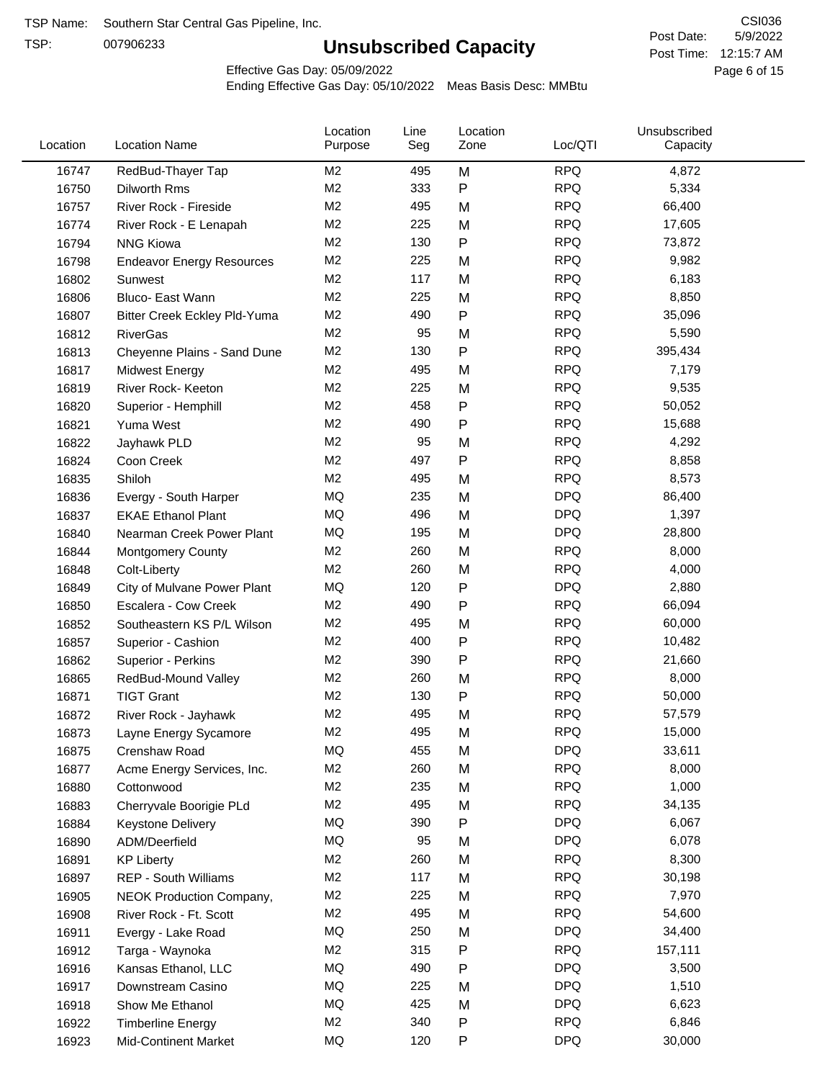TSP:

# **Unsubscribed Capacity**

5/9/2022 Page 6 of 15 Post Time: 12:15:7 AM CSI036 Post Date:

Effective Gas Day: 05/09/2022

| Location | <b>Location Name</b>             | Location<br>Purpose | Line<br>Seg | Location<br>Zone | Loc/QTI    | Unsubscribed<br>Capacity |  |
|----------|----------------------------------|---------------------|-------------|------------------|------------|--------------------------|--|
| 16747    | RedBud-Thayer Tap                | M <sub>2</sub>      | 495         | M                | <b>RPQ</b> | 4,872                    |  |
| 16750    | Dilworth Rms                     | M <sub>2</sub>      | 333         | P                | <b>RPQ</b> | 5,334                    |  |
| 16757    | River Rock - Fireside            | M <sub>2</sub>      | 495         | M                | <b>RPQ</b> | 66,400                   |  |
| 16774    | River Rock - E Lenapah           | M <sub>2</sub>      | 225         | M                | <b>RPQ</b> | 17,605                   |  |
| 16794    | <b>NNG Kiowa</b>                 | M <sub>2</sub>      | 130         | P                | <b>RPQ</b> | 73,872                   |  |
| 16798    | <b>Endeavor Energy Resources</b> | M <sub>2</sub>      | 225         | M                | <b>RPQ</b> | 9,982                    |  |
| 16802    | Sunwest                          | M <sub>2</sub>      | 117         | M                | <b>RPQ</b> | 6,183                    |  |
| 16806    | Bluco- East Wann                 | M <sub>2</sub>      | 225         | M                | <b>RPQ</b> | 8,850                    |  |
| 16807    | Bitter Creek Eckley Pld-Yuma     | M <sub>2</sub>      | 490         | P                | <b>RPQ</b> | 35,096                   |  |
| 16812    | <b>RiverGas</b>                  | M <sub>2</sub>      | 95          | M                | <b>RPQ</b> | 5,590                    |  |
| 16813    | Cheyenne Plains - Sand Dune      | M <sub>2</sub>      | 130         | P                | <b>RPQ</b> | 395,434                  |  |
| 16817    | Midwest Energy                   | M <sub>2</sub>      | 495         | M                | <b>RPQ</b> | 7,179                    |  |
| 16819    | River Rock- Keeton               | M <sub>2</sub>      | 225         | M                | <b>RPQ</b> | 9,535                    |  |
| 16820    | Superior - Hemphill              | M <sub>2</sub>      | 458         | P                | <b>RPQ</b> | 50,052                   |  |
| 16821    | Yuma West                        | M <sub>2</sub>      | 490         | Ρ                | <b>RPQ</b> | 15,688                   |  |
| 16822    | Jayhawk PLD                      | M <sub>2</sub>      | 95          | M                | <b>RPQ</b> | 4,292                    |  |
| 16824    | Coon Creek                       | M <sub>2</sub>      | 497         | P                | <b>RPQ</b> | 8,858                    |  |
| 16835    | Shiloh                           | M <sub>2</sub>      | 495         | M                | <b>RPQ</b> | 8,573                    |  |
| 16836    | Evergy - South Harper            | MQ                  | 235         | M                | <b>DPQ</b> | 86,400                   |  |
| 16837    | <b>EKAE Ethanol Plant</b>        | MQ                  | 496         | M                | <b>DPQ</b> | 1,397                    |  |
| 16840    | Nearman Creek Power Plant        | MQ                  | 195         | M                | <b>DPQ</b> | 28,800                   |  |
| 16844    | <b>Montgomery County</b>         | M <sub>2</sub>      | 260         | M                | <b>RPQ</b> | 8,000                    |  |
| 16848    | Colt-Liberty                     | M <sub>2</sub>      | 260         | M                | <b>RPQ</b> | 4,000                    |  |
| 16849    | City of Mulvane Power Plant      | MQ                  | 120         | Ρ                | <b>DPQ</b> | 2,880                    |  |
| 16850    | Escalera - Cow Creek             | M <sub>2</sub>      | 490         | P                | <b>RPQ</b> | 66,094                   |  |
| 16852    | Southeastern KS P/L Wilson       | M <sub>2</sub>      | 495         | M                | <b>RPQ</b> | 60,000                   |  |
| 16857    | Superior - Cashion               | M <sub>2</sub>      | 400         | Ρ                | <b>RPQ</b> | 10,482                   |  |
| 16862    | Superior - Perkins               | M <sub>2</sub>      | 390         | P                | <b>RPQ</b> | 21,660                   |  |
| 16865    | RedBud-Mound Valley              | M2                  | 260         | M                | <b>RPQ</b> | 8,000                    |  |
| 16871    | <b>TIGT Grant</b>                | M <sub>2</sub>      | 130         | Ρ                | <b>RPQ</b> | 50,000                   |  |
| 16872    | River Rock - Jayhawk             | M2                  | 495         | M                | <b>RPQ</b> | 57,579                   |  |
| 16873    | Layne Energy Sycamore            | M <sub>2</sub>      | 495         | Μ                | <b>RPQ</b> | 15,000                   |  |
| 16875    | Crenshaw Road                    | MQ                  | 455         | M                | <b>DPQ</b> | 33,611                   |  |
| 16877    | Acme Energy Services, Inc.       | M <sub>2</sub>      | 260         | M                | <b>RPQ</b> | 8,000                    |  |
| 16880    | Cottonwood                       | M <sub>2</sub>      | 235         | M                | <b>RPQ</b> | 1,000                    |  |
| 16883    | Cherryvale Boorigie PLd          | M2                  | 495         | M                | <b>RPQ</b> | 34,135                   |  |
| 16884    | <b>Keystone Delivery</b>         | MQ                  | 390         | P                | <b>DPQ</b> | 6,067                    |  |
| 16890    | ADM/Deerfield                    | MQ                  | 95          | M                | <b>DPQ</b> | 6,078                    |  |
| 16891    | <b>KP Liberty</b>                | M2                  | 260         | Μ                | <b>RPQ</b> | 8,300                    |  |
| 16897    | <b>REP - South Williams</b>      | M2                  | 117         | M                | <b>RPQ</b> | 30,198                   |  |
| 16905    | NEOK Production Company,         | M2                  | 225         | M                | <b>RPQ</b> | 7,970                    |  |
| 16908    | River Rock - Ft. Scott           | M2                  | 495         | M                | <b>RPQ</b> | 54,600                   |  |
| 16911    | Evergy - Lake Road               | MQ                  | 250         | M                | <b>DPQ</b> | 34,400                   |  |
| 16912    | Targa - Waynoka                  | M <sub>2</sub>      | 315         | Ρ                | <b>RPQ</b> | 157,111                  |  |
| 16916    | Kansas Ethanol, LLC              | MQ                  | 490         | Ρ                | <b>DPQ</b> | 3,500                    |  |
| 16917    | Downstream Casino                | MQ                  | 225         | M                | <b>DPQ</b> | 1,510                    |  |
| 16918    | Show Me Ethanol                  | MQ                  | 425         | M                | <b>DPQ</b> | 6,623                    |  |
| 16922    | <b>Timberline Energy</b>         | M <sub>2</sub>      | 340         | Ρ                | <b>RPQ</b> | 6,846                    |  |
| 16923    | <b>Mid-Continent Market</b>      | MQ                  | 120         | P                | <b>DPQ</b> | 30,000                   |  |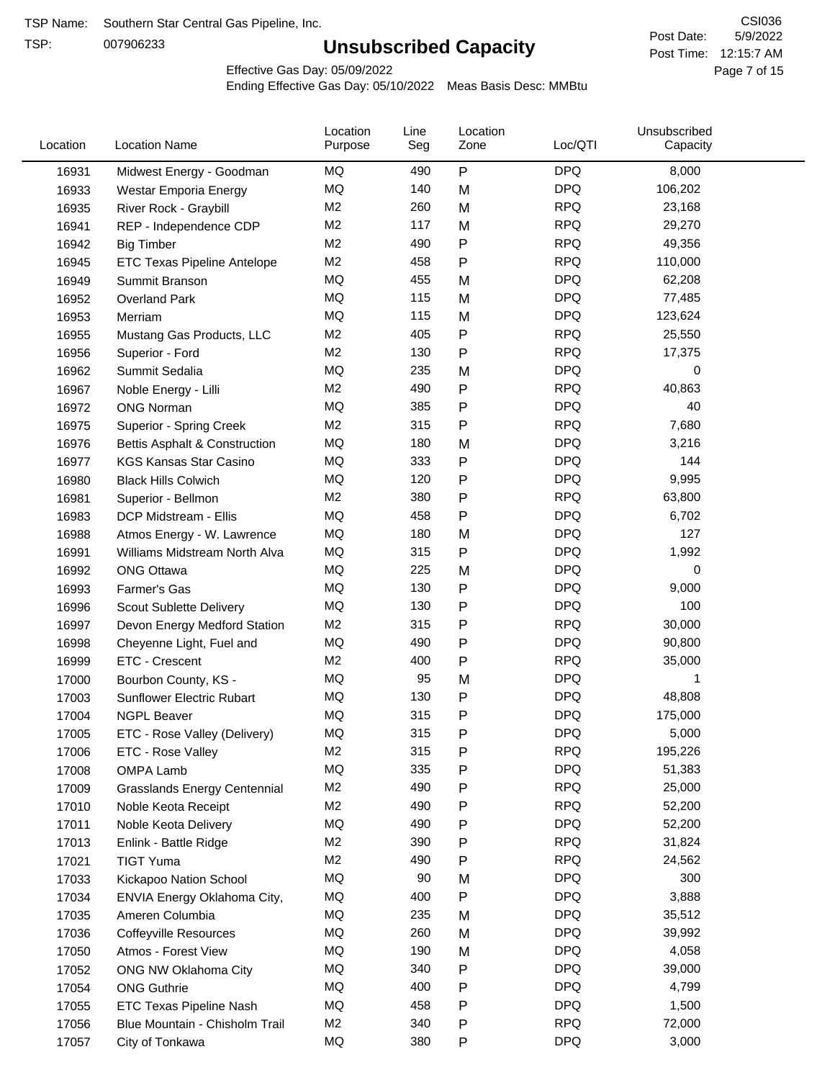TSP:

# **Unsubscribed Capacity**

5/9/2022 Page 7 of 15 Post Time: 12:15:7 AM CSI036 Post Date:

Effective Gas Day: 05/09/2022

| Location | <b>Location Name</b>                | Location<br>Purpose | Line<br>Seg | Location<br>Zone | Loc/QTI    | Unsubscribed<br>Capacity |  |
|----------|-------------------------------------|---------------------|-------------|------------------|------------|--------------------------|--|
| 16931    | Midwest Energy - Goodman            | ΜQ                  | 490         | P                | <b>DPQ</b> | 8,000                    |  |
| 16933    | Westar Emporia Energy               | MQ                  | 140         | M                | <b>DPQ</b> | 106,202                  |  |
| 16935    | River Rock - Graybill               | M <sub>2</sub>      | 260         | M                | <b>RPQ</b> | 23,168                   |  |
| 16941    | REP - Independence CDP              | M <sub>2</sub>      | 117         | M                | <b>RPQ</b> | 29,270                   |  |
| 16942    | <b>Big Timber</b>                   | M <sub>2</sub>      | 490         | $\mathsf{P}$     | <b>RPQ</b> | 49,356                   |  |
| 16945    | <b>ETC Texas Pipeline Antelope</b>  | M <sub>2</sub>      | 458         | $\mathsf{P}$     | <b>RPQ</b> | 110,000                  |  |
| 16949    | Summit Branson                      | MQ                  | 455         | M                | <b>DPQ</b> | 62,208                   |  |
| 16952    | Overland Park                       | MQ                  | 115         | M                | <b>DPQ</b> | 77,485                   |  |
| 16953    | Merriam                             | MQ                  | 115         | M                | <b>DPQ</b> | 123,624                  |  |
| 16955    | Mustang Gas Products, LLC           | M <sub>2</sub>      | 405         | $\mathsf{P}$     | <b>RPQ</b> | 25,550                   |  |
| 16956    | Superior - Ford                     | M <sub>2</sub>      | 130         | $\mathsf{P}$     | <b>RPQ</b> | 17,375                   |  |
| 16962    | Summit Sedalia                      | <b>MQ</b>           | 235         | M                | <b>DPQ</b> | 0                        |  |
| 16967    | Noble Energy - Lilli                | M <sub>2</sub>      | 490         | P                | <b>RPQ</b> | 40,863                   |  |
| 16972    | <b>ONG Norman</b>                   | MQ                  | 385         | $\mathsf{P}$     | <b>DPQ</b> | 40                       |  |
| 16975    | Superior - Spring Creek             | M <sub>2</sub>      | 315         | $\mathsf{P}$     | <b>RPQ</b> | 7,680                    |  |
| 16976    | Bettis Asphalt & Construction       | MQ                  | 180         | M                | <b>DPQ</b> | 3,216                    |  |
| 16977    | <b>KGS Kansas Star Casino</b>       | MQ                  | 333         | P                | <b>DPQ</b> | 144                      |  |
| 16980    | <b>Black Hills Colwich</b>          | MQ                  | 120         | P                | <b>DPQ</b> | 9,995                    |  |
| 16981    | Superior - Bellmon                  | M <sub>2</sub>      | 380         | P                | <b>RPQ</b> | 63,800                   |  |
| 16983    | DCP Midstream - Ellis               | MQ                  | 458         | $\mathsf{P}$     | <b>DPQ</b> | 6,702                    |  |
| 16988    | Atmos Energy - W. Lawrence          | MQ                  | 180         | M                | <b>DPQ</b> | 127                      |  |
| 16991    | Williams Midstream North Alva       | MQ                  | 315         | $\mathsf{P}$     | <b>DPQ</b> | 1,992                    |  |
| 16992    | <b>ONG Ottawa</b>                   | MQ                  | 225         | M                | <b>DPQ</b> | 0                        |  |
| 16993    | Farmer's Gas                        | MQ                  | 130         | P                | <b>DPQ</b> | 9,000                    |  |
| 16996    | Scout Sublette Delivery             | MQ                  | 130         | P                | <b>DPQ</b> | 100                      |  |
| 16997    | Devon Energy Medford Station        | M <sub>2</sub>      | 315         | P                | <b>RPQ</b> | 30,000                   |  |
| 16998    | Cheyenne Light, Fuel and            | MQ                  | 490         | P                | <b>DPQ</b> | 90,800                   |  |
| 16999    | ETC - Crescent                      | M <sub>2</sub>      | 400         | $\mathsf{P}$     | <b>RPQ</b> | 35,000                   |  |
| 17000    | Bourbon County, KS -                | MQ                  | 95          | M                | <b>DPQ</b> | 1                        |  |
| 17003    | <b>Sunflower Electric Rubart</b>    | MQ                  | 130         | $\mathsf{P}$     | <b>DPQ</b> | 48,808                   |  |
| 17004    | <b>NGPL Beaver</b>                  | MQ                  | 315         | P                | <b>DPQ</b> | 175,000                  |  |
| 17005    | ETC - Rose Valley (Delivery)        | MQ                  | 315         | P                | <b>DPQ</b> | 5,000                    |  |
| 17006    | ETC - Rose Valley                   | M <sub>2</sub>      | 315         | P                | <b>RPQ</b> | 195,226                  |  |
| 17008    | OMPA Lamb                           | MQ                  | 335         | ${\sf P}$        | <b>DPQ</b> | 51,383                   |  |
| 17009    | <b>Grasslands Energy Centennial</b> | M <sub>2</sub>      | 490         | P                | <b>RPQ</b> | 25,000                   |  |
| 17010    | Noble Keota Receipt                 | M <sub>2</sub>      | 490         | P                | <b>RPQ</b> | 52,200                   |  |
| 17011    | Noble Keota Delivery                | MQ                  | 490         | P                | <b>DPQ</b> | 52,200                   |  |
| 17013    | Enlink - Battle Ridge               | M <sub>2</sub>      | 390         | P                | <b>RPQ</b> | 31,824                   |  |
| 17021    | <b>TIGT Yuma</b>                    | M <sub>2</sub>      | 490         | P                | <b>RPQ</b> | 24,562                   |  |
| 17033    | Kickapoo Nation School              | MQ                  | 90          | M                | <b>DPQ</b> | 300                      |  |
| 17034    | ENVIA Energy Oklahoma City,         | MQ                  | 400         | P                | <b>DPQ</b> | 3,888                    |  |
| 17035    | Ameren Columbia                     | MQ                  | 235         | M                | <b>DPQ</b> | 35,512                   |  |
| 17036    | <b>Coffeyville Resources</b>        | MQ                  | 260         | M                | <b>DPQ</b> | 39,992                   |  |
| 17050    | Atmos - Forest View                 | MQ                  | 190         | M                | <b>DPQ</b> | 4,058                    |  |
| 17052    | ONG NW Oklahoma City                | MQ                  | 340         | P                | <b>DPQ</b> | 39,000                   |  |
| 17054    | <b>ONG Guthrie</b>                  | MQ                  | 400         | P                | <b>DPQ</b> | 4,799                    |  |
| 17055    | ETC Texas Pipeline Nash             | MQ                  | 458         | P                | <b>DPQ</b> | 1,500                    |  |
| 17056    | Blue Mountain - Chisholm Trail      | M <sub>2</sub>      | 340         | P                | <b>RPQ</b> | 72,000                   |  |
| 17057    | City of Tonkawa                     | MQ                  | 380         | P                | <b>DPQ</b> | 3,000                    |  |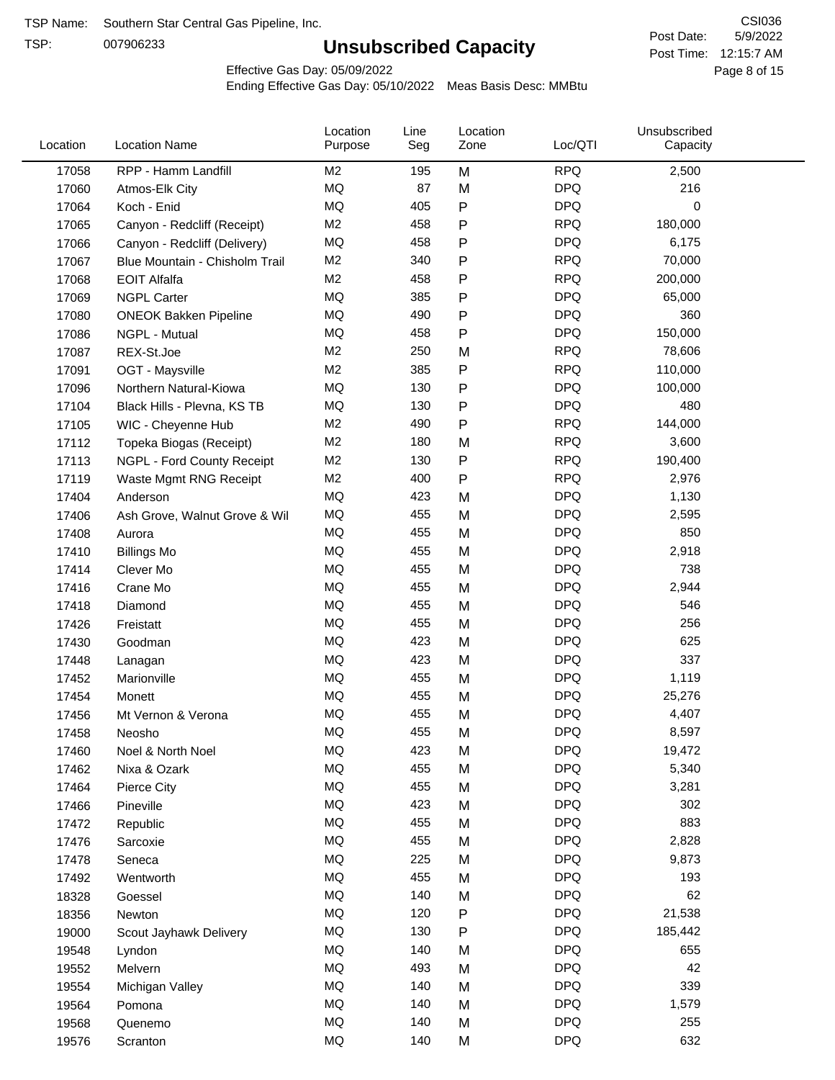TSP:

# **Unsubscribed Capacity**

5/9/2022 Page 8 of 15 Post Time: 12:15:7 AM CSI036 Post Date:

Effective Gas Day: 05/09/2022

| Location | <b>Location Name</b>           | Location<br>Purpose | Line<br>Seg | Location<br>Zone | Loc/QTI    | Unsubscribed<br>Capacity |  |
|----------|--------------------------------|---------------------|-------------|------------------|------------|--------------------------|--|
| 17058    | RPP - Hamm Landfill            | M <sub>2</sub>      | 195         | M                | <b>RPQ</b> | 2,500                    |  |
| 17060    | Atmos-Elk City                 | MQ                  | 87          | M                | <b>DPQ</b> | 216                      |  |
| 17064    | Koch - Enid                    | MQ                  | 405         | $\sf P$          | <b>DPQ</b> | 0                        |  |
| 17065    | Canyon - Redcliff (Receipt)    | M <sub>2</sub>      | 458         | $\mathsf{P}$     | <b>RPQ</b> | 180,000                  |  |
| 17066    | Canyon - Redcliff (Delivery)   | MQ                  | 458         | P                | <b>DPQ</b> | 6,175                    |  |
| 17067    | Blue Mountain - Chisholm Trail | M <sub>2</sub>      | 340         | P                | <b>RPQ</b> | 70,000                   |  |
| 17068    | <b>EOIT Alfalfa</b>            | M <sub>2</sub>      | 458         | Ρ                | <b>RPQ</b> | 200,000                  |  |
| 17069    | <b>NGPL Carter</b>             | <b>MQ</b>           | 385         | $\mathsf{P}$     | <b>DPQ</b> | 65,000                   |  |
| 17080    | <b>ONEOK Bakken Pipeline</b>   | MQ                  | 490         | Ρ                | <b>DPQ</b> | 360                      |  |
| 17086    | NGPL - Mutual                  | <b>MQ</b>           | 458         | ${\sf P}$        | <b>DPQ</b> | 150,000                  |  |
| 17087    | REX-St.Joe                     | M <sub>2</sub>      | 250         | M                | <b>RPQ</b> | 78,606                   |  |
| 17091    | OGT - Maysville                | M <sub>2</sub>      | 385         | P                | <b>RPQ</b> | 110,000                  |  |
| 17096    | Northern Natural-Kiowa         | <b>MQ</b>           | 130         | $\mathsf{P}$     | <b>DPQ</b> | 100,000                  |  |
| 17104    | Black Hills - Plevna, KS TB    | MQ                  | 130         | Ρ                | <b>DPQ</b> | 480                      |  |
| 17105    | WIC - Cheyenne Hub             | M <sub>2</sub>      | 490         | $\mathsf{P}$     | <b>RPQ</b> | 144,000                  |  |
| 17112    | Topeka Biogas (Receipt)        | M <sub>2</sub>      | 180         | M                | <b>RPQ</b> | 3,600                    |  |
| 17113    | NGPL - Ford County Receipt     | M <sub>2</sub>      | 130         | $\mathsf{P}$     | <b>RPQ</b> | 190,400                  |  |
| 17119    | Waste Mgmt RNG Receipt         | M2                  | 400         | ${\sf P}$        | <b>RPQ</b> | 2,976                    |  |
| 17404    | Anderson                       | <b>MQ</b>           | 423         | M                | <b>DPQ</b> | 1,130                    |  |
| 17406    | Ash Grove, Walnut Grove & Wil  | MQ                  | 455         | M                | <b>DPQ</b> | 2,595                    |  |
| 17408    | Aurora                         | MQ                  | 455         | M                | <b>DPQ</b> | 850                      |  |
| 17410    | <b>Billings Mo</b>             | <b>MQ</b>           | 455         | M                | <b>DPQ</b> | 2,918                    |  |
| 17414    | Clever Mo                      | <b>MQ</b>           | 455         | M                | <b>DPQ</b> | 738                      |  |
| 17416    | Crane Mo                       | <b>MQ</b>           | 455         | M                | <b>DPQ</b> | 2,944                    |  |
| 17418    | Diamond                        | <b>MQ</b>           | 455         | M                | <b>DPQ</b> | 546                      |  |
| 17426    | Freistatt                      | MQ                  | 455         | M                | <b>DPQ</b> | 256                      |  |
| 17430    | Goodman                        | <b>MQ</b>           | 423         | M                | <b>DPQ</b> | 625                      |  |
| 17448    | Lanagan                        | <b>MQ</b>           | 423         | M                | <b>DPQ</b> | 337                      |  |
| 17452    | Marionville                    | MQ                  | 455         | M                | <b>DPQ</b> | 1,119                    |  |
| 17454    | Monett                         | MQ                  | 455         | M                | <b>DPQ</b> | 25,276                   |  |
| 17456    | Mt Vernon & Verona             | <b>MQ</b>           | 455         | M                | <b>DPQ</b> | 4,407                    |  |
| 17458    | Neosho                         | MQ                  | 455         | M                | <b>DPQ</b> | 8,597                    |  |
| 17460    | Noel & North Noel              | MQ                  | 423         | M                | <b>DPQ</b> | 19,472                   |  |
| 17462    | Nixa & Ozark                   | $\sf{MQ}$           | 455         | M                | <b>DPQ</b> | 5,340                    |  |
| 17464    | Pierce City                    | MQ                  | 455         | M                | <b>DPQ</b> | 3,281                    |  |
| 17466    | Pineville                      | MQ                  | 423         | M                | <b>DPQ</b> | 302                      |  |
| 17472    | Republic                       | MQ                  | 455         | M                | <b>DPQ</b> | 883                      |  |
| 17476    | Sarcoxie                       | MQ                  | 455         | M                | <b>DPQ</b> | 2,828                    |  |
| 17478    | Seneca                         | MQ                  | 225         | M                | <b>DPQ</b> | 9,873                    |  |
| 17492    | Wentworth                      | MQ                  | 455         | M                | <b>DPQ</b> | 193                      |  |
| 18328    | Goessel                        | MQ                  | 140         | M                | <b>DPQ</b> | 62                       |  |
| 18356    | Newton                         | MQ                  | 120         | P                | <b>DPQ</b> | 21,538                   |  |
| 19000    | Scout Jayhawk Delivery         | $\sf{MQ}$           | 130         | ${\sf P}$        | <b>DPQ</b> | 185,442                  |  |
| 19548    | Lyndon                         | MQ                  | 140         | M                | <b>DPQ</b> | 655                      |  |
| 19552    | Melvern                        | MQ                  | 493         | M                | <b>DPQ</b> | 42                       |  |
| 19554    | Michigan Valley                | MQ                  | 140         | M                | <b>DPQ</b> | 339                      |  |
| 19564    | Pomona                         | MQ                  | 140         | M                | <b>DPQ</b> | 1,579                    |  |
| 19568    | Quenemo                        | MQ                  | 140         | M                | <b>DPQ</b> | 255                      |  |
| 19576    | Scranton                       | MQ                  | 140         | M                | <b>DPQ</b> | 632                      |  |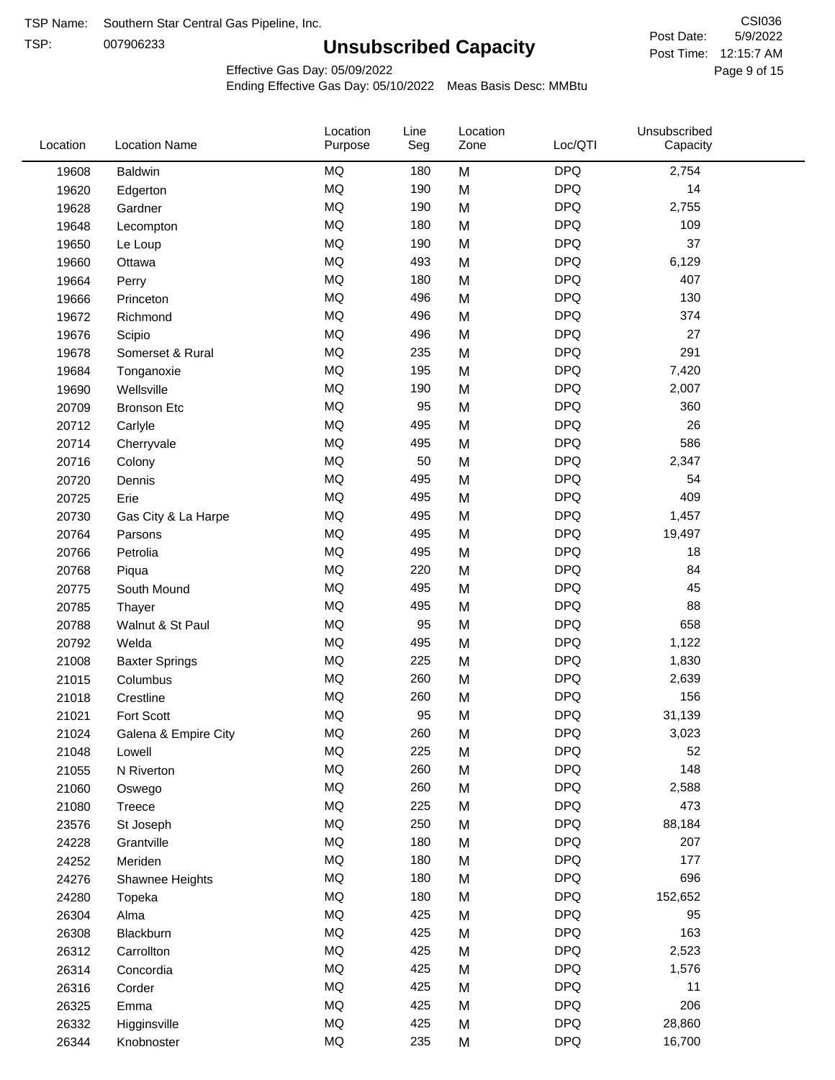TSP:

# **Unsubscribed Capacity**

5/9/2022 Page 9 of 15 Post Time: 12:15:7 AM CSI036 Post Date:

Effective Gas Day: 05/09/2022

| <b>DPQ</b><br><b>MQ</b><br>2,754<br>180<br>M<br>19608<br><b>Baldwin</b><br><b>MQ</b><br><b>DPQ</b><br>190<br>M<br>14<br>19620<br>Edgerton<br><b>MQ</b><br><b>DPQ</b><br>190<br>M<br>2,755<br>19628<br>Gardner<br><b>MQ</b><br><b>DPQ</b><br>109<br>180<br>19648<br>M<br>Lecompton<br><b>DPQ</b><br><b>MQ</b><br>190<br>M<br>37<br>19650<br>Le Loup<br><b>MQ</b><br><b>DPQ</b><br>6,129<br>493<br>M<br>19660<br>Ottawa<br><b>MQ</b><br><b>DPQ</b><br>407<br>180<br>M<br>19664<br>Perry<br><b>MQ</b><br><b>DPQ</b><br>130<br>496<br>19666<br>M<br>Princeton<br><b>MQ</b><br><b>DPQ</b><br>374<br>19672<br>496<br>M<br>Richmond<br><b>MQ</b><br>496<br>M<br><b>DPQ</b><br>27<br>19676<br>Scipio<br><b>MQ</b><br><b>DPQ</b><br>291<br>235<br>M<br>19678<br>Somerset & Rural<br><b>MQ</b><br><b>DPQ</b><br>195<br>M<br>7,420<br>19684<br>Tonganoxie<br><b>MQ</b><br><b>DPQ</b><br>190<br>2,007<br>19690<br>Wellsville<br>M<br><b>DPQ</b><br><b>MQ</b><br>95<br>M<br>360<br>20709<br><b>Bronson Etc</b><br><b>MQ</b><br><b>DPQ</b><br>26<br>495<br>M<br>20712<br>Carlyle<br><b>MQ</b><br><b>DPQ</b><br>586<br>495<br>M<br>20714<br>Cherryvale<br><b>MQ</b><br>50<br><b>DPQ</b><br>2,347<br>M<br>20716<br>Colony<br><b>MQ</b><br><b>DPQ</b><br>495<br>M<br>54<br>20720<br>Dennis<br><b>MQ</b><br>495<br><b>DPQ</b><br>409<br>M<br>20725<br>Erie<br><b>MQ</b><br>M<br><b>DPQ</b><br>495<br>1,457<br>20730<br>Gas City & La Harpe<br><b>MQ</b><br><b>DPQ</b><br>495<br>M<br>19,497<br>20764<br>Parsons<br><b>MQ</b><br><b>DPQ</b><br>495<br>M<br>18<br>20766<br>Petrolia<br><b>MQ</b><br><b>DPQ</b><br>220<br>84<br>20768<br>M<br>Piqua<br><b>MQ</b><br><b>DPQ</b><br>M<br>45<br>South Mound<br>495<br>20775<br><b>MQ</b><br>M<br><b>DPQ</b><br>88<br>495<br>20785<br>Thayer<br><b>MQ</b><br><b>DPQ</b><br>658<br>95<br>M<br>20788<br>Walnut & St Paul<br><b>MQ</b><br><b>DPQ</b><br>495<br>M<br>1,122<br>20792<br>Welda<br><b>MQ</b><br><b>DPQ</b><br>225<br>1,830<br>21008<br>M<br><b>Baxter Springs</b><br><b>MQ</b><br><b>DPQ</b><br>260<br>M<br>2,639<br>21015<br>Columbus<br>MQ<br><b>DPQ</b><br>156<br>260<br>Crestline<br>M<br>21018<br><b>MQ</b><br>95<br>M<br><b>DPQ</b><br>Fort Scott<br>31,139<br>21021<br><b>MQ</b><br><b>DPQ</b><br>260<br>3,023<br>21024<br>M<br>Galena & Empire City<br>225<br>MQ<br><b>DPQ</b><br>52<br>M<br>21048<br>Lowell<br>$\sf{MQ}$<br><b>DPQ</b><br>148<br>260<br>M<br>21055<br>N Riverton<br><b>MQ</b><br>260<br><b>DPQ</b><br>2,588<br>M<br>21060<br>Oswego<br>MQ<br><b>DPQ</b><br>225<br>473<br>21080<br>M<br>Treece<br><b>DPQ</b><br>MQ<br>250<br>M<br>88,184<br>23576<br>St Joseph<br>$\sf{MQ}$<br><b>DPQ</b><br>180<br>207<br>24228<br>M<br>Grantville<br>MQ<br><b>DPQ</b><br>177<br>180<br>24252<br>Meriden<br>M<br>MQ<br>180<br><b>DPQ</b><br>696<br>24276<br>M<br>Shawnee Heights<br>MQ<br><b>DPQ</b><br>180<br>152,652<br>24280<br>M<br>Topeka<br>MQ<br>425<br><b>DPQ</b><br>M<br>95<br>26304<br>Alma<br>MQ<br><b>DPQ</b><br>163<br>425<br>M<br>26308<br>Blackburn<br>MQ<br><b>DPQ</b><br>425<br>M<br>2,523<br>26312<br>Carrollton<br>MQ<br><b>DPQ</b><br>425<br>1,576<br>26314<br>M<br>Concordia<br>MQ<br>425<br><b>DPQ</b><br>11<br>26316<br>M<br>Corder<br>$\sf{MQ}$<br><b>DPQ</b><br>206<br>425<br>M<br>26325<br>Emma<br>$\sf{MQ}$<br>425<br><b>DPQ</b><br>28,860<br>M<br>26332<br>Higginsville<br>$\sf{MQ}$<br><b>DPQ</b><br>235<br>16,700<br>26344<br>M<br>Knobnoster | Location | <b>Location Name</b> | Location<br>Purpose | Line<br>Seg | Location<br>Zone | Loc/QTI | Unsubscribed<br>Capacity |  |
|----------------------------------------------------------------------------------------------------------------------------------------------------------------------------------------------------------------------------------------------------------------------------------------------------------------------------------------------------------------------------------------------------------------------------------------------------------------------------------------------------------------------------------------------------------------------------------------------------------------------------------------------------------------------------------------------------------------------------------------------------------------------------------------------------------------------------------------------------------------------------------------------------------------------------------------------------------------------------------------------------------------------------------------------------------------------------------------------------------------------------------------------------------------------------------------------------------------------------------------------------------------------------------------------------------------------------------------------------------------------------------------------------------------------------------------------------------------------------------------------------------------------------------------------------------------------------------------------------------------------------------------------------------------------------------------------------------------------------------------------------------------------------------------------------------------------------------------------------------------------------------------------------------------------------------------------------------------------------------------------------------------------------------------------------------------------------------------------------------------------------------------------------------------------------------------------------------------------------------------------------------------------------------------------------------------------------------------------------------------------------------------------------------------------------------------------------------------------------------------------------------------------------------------------------------------------------------------------------------------------------------------------------------------------------------------------------------------------------------------------------------------------------------------------------------------------------------------------------------------------------------------------------------------------------------------------------------------------------------------------------------------------------------------------------------------------------------------------------------------------------------------------------------------------------------------------------------------------------------------------------------------------------------------------------------------------------------------------------------------------------------------------------------------------|----------|----------------------|---------------------|-------------|------------------|---------|--------------------------|--|
|                                                                                                                                                                                                                                                                                                                                                                                                                                                                                                                                                                                                                                                                                                                                                                                                                                                                                                                                                                                                                                                                                                                                                                                                                                                                                                                                                                                                                                                                                                                                                                                                                                                                                                                                                                                                                                                                                                                                                                                                                                                                                                                                                                                                                                                                                                                                                                                                                                                                                                                                                                                                                                                                                                                                                                                                                                                                                                                                                                                                                                                                                                                                                                                                                                                                                                                                                                                                                      |          |                      |                     |             |                  |         |                          |  |
|                                                                                                                                                                                                                                                                                                                                                                                                                                                                                                                                                                                                                                                                                                                                                                                                                                                                                                                                                                                                                                                                                                                                                                                                                                                                                                                                                                                                                                                                                                                                                                                                                                                                                                                                                                                                                                                                                                                                                                                                                                                                                                                                                                                                                                                                                                                                                                                                                                                                                                                                                                                                                                                                                                                                                                                                                                                                                                                                                                                                                                                                                                                                                                                                                                                                                                                                                                                                                      |          |                      |                     |             |                  |         |                          |  |
|                                                                                                                                                                                                                                                                                                                                                                                                                                                                                                                                                                                                                                                                                                                                                                                                                                                                                                                                                                                                                                                                                                                                                                                                                                                                                                                                                                                                                                                                                                                                                                                                                                                                                                                                                                                                                                                                                                                                                                                                                                                                                                                                                                                                                                                                                                                                                                                                                                                                                                                                                                                                                                                                                                                                                                                                                                                                                                                                                                                                                                                                                                                                                                                                                                                                                                                                                                                                                      |          |                      |                     |             |                  |         |                          |  |
|                                                                                                                                                                                                                                                                                                                                                                                                                                                                                                                                                                                                                                                                                                                                                                                                                                                                                                                                                                                                                                                                                                                                                                                                                                                                                                                                                                                                                                                                                                                                                                                                                                                                                                                                                                                                                                                                                                                                                                                                                                                                                                                                                                                                                                                                                                                                                                                                                                                                                                                                                                                                                                                                                                                                                                                                                                                                                                                                                                                                                                                                                                                                                                                                                                                                                                                                                                                                                      |          |                      |                     |             |                  |         |                          |  |
|                                                                                                                                                                                                                                                                                                                                                                                                                                                                                                                                                                                                                                                                                                                                                                                                                                                                                                                                                                                                                                                                                                                                                                                                                                                                                                                                                                                                                                                                                                                                                                                                                                                                                                                                                                                                                                                                                                                                                                                                                                                                                                                                                                                                                                                                                                                                                                                                                                                                                                                                                                                                                                                                                                                                                                                                                                                                                                                                                                                                                                                                                                                                                                                                                                                                                                                                                                                                                      |          |                      |                     |             |                  |         |                          |  |
|                                                                                                                                                                                                                                                                                                                                                                                                                                                                                                                                                                                                                                                                                                                                                                                                                                                                                                                                                                                                                                                                                                                                                                                                                                                                                                                                                                                                                                                                                                                                                                                                                                                                                                                                                                                                                                                                                                                                                                                                                                                                                                                                                                                                                                                                                                                                                                                                                                                                                                                                                                                                                                                                                                                                                                                                                                                                                                                                                                                                                                                                                                                                                                                                                                                                                                                                                                                                                      |          |                      |                     |             |                  |         |                          |  |
|                                                                                                                                                                                                                                                                                                                                                                                                                                                                                                                                                                                                                                                                                                                                                                                                                                                                                                                                                                                                                                                                                                                                                                                                                                                                                                                                                                                                                                                                                                                                                                                                                                                                                                                                                                                                                                                                                                                                                                                                                                                                                                                                                                                                                                                                                                                                                                                                                                                                                                                                                                                                                                                                                                                                                                                                                                                                                                                                                                                                                                                                                                                                                                                                                                                                                                                                                                                                                      |          |                      |                     |             |                  |         |                          |  |
|                                                                                                                                                                                                                                                                                                                                                                                                                                                                                                                                                                                                                                                                                                                                                                                                                                                                                                                                                                                                                                                                                                                                                                                                                                                                                                                                                                                                                                                                                                                                                                                                                                                                                                                                                                                                                                                                                                                                                                                                                                                                                                                                                                                                                                                                                                                                                                                                                                                                                                                                                                                                                                                                                                                                                                                                                                                                                                                                                                                                                                                                                                                                                                                                                                                                                                                                                                                                                      |          |                      |                     |             |                  |         |                          |  |
|                                                                                                                                                                                                                                                                                                                                                                                                                                                                                                                                                                                                                                                                                                                                                                                                                                                                                                                                                                                                                                                                                                                                                                                                                                                                                                                                                                                                                                                                                                                                                                                                                                                                                                                                                                                                                                                                                                                                                                                                                                                                                                                                                                                                                                                                                                                                                                                                                                                                                                                                                                                                                                                                                                                                                                                                                                                                                                                                                                                                                                                                                                                                                                                                                                                                                                                                                                                                                      |          |                      |                     |             |                  |         |                          |  |
|                                                                                                                                                                                                                                                                                                                                                                                                                                                                                                                                                                                                                                                                                                                                                                                                                                                                                                                                                                                                                                                                                                                                                                                                                                                                                                                                                                                                                                                                                                                                                                                                                                                                                                                                                                                                                                                                                                                                                                                                                                                                                                                                                                                                                                                                                                                                                                                                                                                                                                                                                                                                                                                                                                                                                                                                                                                                                                                                                                                                                                                                                                                                                                                                                                                                                                                                                                                                                      |          |                      |                     |             |                  |         |                          |  |
|                                                                                                                                                                                                                                                                                                                                                                                                                                                                                                                                                                                                                                                                                                                                                                                                                                                                                                                                                                                                                                                                                                                                                                                                                                                                                                                                                                                                                                                                                                                                                                                                                                                                                                                                                                                                                                                                                                                                                                                                                                                                                                                                                                                                                                                                                                                                                                                                                                                                                                                                                                                                                                                                                                                                                                                                                                                                                                                                                                                                                                                                                                                                                                                                                                                                                                                                                                                                                      |          |                      |                     |             |                  |         |                          |  |
|                                                                                                                                                                                                                                                                                                                                                                                                                                                                                                                                                                                                                                                                                                                                                                                                                                                                                                                                                                                                                                                                                                                                                                                                                                                                                                                                                                                                                                                                                                                                                                                                                                                                                                                                                                                                                                                                                                                                                                                                                                                                                                                                                                                                                                                                                                                                                                                                                                                                                                                                                                                                                                                                                                                                                                                                                                                                                                                                                                                                                                                                                                                                                                                                                                                                                                                                                                                                                      |          |                      |                     |             |                  |         |                          |  |
|                                                                                                                                                                                                                                                                                                                                                                                                                                                                                                                                                                                                                                                                                                                                                                                                                                                                                                                                                                                                                                                                                                                                                                                                                                                                                                                                                                                                                                                                                                                                                                                                                                                                                                                                                                                                                                                                                                                                                                                                                                                                                                                                                                                                                                                                                                                                                                                                                                                                                                                                                                                                                                                                                                                                                                                                                                                                                                                                                                                                                                                                                                                                                                                                                                                                                                                                                                                                                      |          |                      |                     |             |                  |         |                          |  |
|                                                                                                                                                                                                                                                                                                                                                                                                                                                                                                                                                                                                                                                                                                                                                                                                                                                                                                                                                                                                                                                                                                                                                                                                                                                                                                                                                                                                                                                                                                                                                                                                                                                                                                                                                                                                                                                                                                                                                                                                                                                                                                                                                                                                                                                                                                                                                                                                                                                                                                                                                                                                                                                                                                                                                                                                                                                                                                                                                                                                                                                                                                                                                                                                                                                                                                                                                                                                                      |          |                      |                     |             |                  |         |                          |  |
|                                                                                                                                                                                                                                                                                                                                                                                                                                                                                                                                                                                                                                                                                                                                                                                                                                                                                                                                                                                                                                                                                                                                                                                                                                                                                                                                                                                                                                                                                                                                                                                                                                                                                                                                                                                                                                                                                                                                                                                                                                                                                                                                                                                                                                                                                                                                                                                                                                                                                                                                                                                                                                                                                                                                                                                                                                                                                                                                                                                                                                                                                                                                                                                                                                                                                                                                                                                                                      |          |                      |                     |             |                  |         |                          |  |
|                                                                                                                                                                                                                                                                                                                                                                                                                                                                                                                                                                                                                                                                                                                                                                                                                                                                                                                                                                                                                                                                                                                                                                                                                                                                                                                                                                                                                                                                                                                                                                                                                                                                                                                                                                                                                                                                                                                                                                                                                                                                                                                                                                                                                                                                                                                                                                                                                                                                                                                                                                                                                                                                                                                                                                                                                                                                                                                                                                                                                                                                                                                                                                                                                                                                                                                                                                                                                      |          |                      |                     |             |                  |         |                          |  |
|                                                                                                                                                                                                                                                                                                                                                                                                                                                                                                                                                                                                                                                                                                                                                                                                                                                                                                                                                                                                                                                                                                                                                                                                                                                                                                                                                                                                                                                                                                                                                                                                                                                                                                                                                                                                                                                                                                                                                                                                                                                                                                                                                                                                                                                                                                                                                                                                                                                                                                                                                                                                                                                                                                                                                                                                                                                                                                                                                                                                                                                                                                                                                                                                                                                                                                                                                                                                                      |          |                      |                     |             |                  |         |                          |  |
|                                                                                                                                                                                                                                                                                                                                                                                                                                                                                                                                                                                                                                                                                                                                                                                                                                                                                                                                                                                                                                                                                                                                                                                                                                                                                                                                                                                                                                                                                                                                                                                                                                                                                                                                                                                                                                                                                                                                                                                                                                                                                                                                                                                                                                                                                                                                                                                                                                                                                                                                                                                                                                                                                                                                                                                                                                                                                                                                                                                                                                                                                                                                                                                                                                                                                                                                                                                                                      |          |                      |                     |             |                  |         |                          |  |
|                                                                                                                                                                                                                                                                                                                                                                                                                                                                                                                                                                                                                                                                                                                                                                                                                                                                                                                                                                                                                                                                                                                                                                                                                                                                                                                                                                                                                                                                                                                                                                                                                                                                                                                                                                                                                                                                                                                                                                                                                                                                                                                                                                                                                                                                                                                                                                                                                                                                                                                                                                                                                                                                                                                                                                                                                                                                                                                                                                                                                                                                                                                                                                                                                                                                                                                                                                                                                      |          |                      |                     |             |                  |         |                          |  |
|                                                                                                                                                                                                                                                                                                                                                                                                                                                                                                                                                                                                                                                                                                                                                                                                                                                                                                                                                                                                                                                                                                                                                                                                                                                                                                                                                                                                                                                                                                                                                                                                                                                                                                                                                                                                                                                                                                                                                                                                                                                                                                                                                                                                                                                                                                                                                                                                                                                                                                                                                                                                                                                                                                                                                                                                                                                                                                                                                                                                                                                                                                                                                                                                                                                                                                                                                                                                                      |          |                      |                     |             |                  |         |                          |  |
|                                                                                                                                                                                                                                                                                                                                                                                                                                                                                                                                                                                                                                                                                                                                                                                                                                                                                                                                                                                                                                                                                                                                                                                                                                                                                                                                                                                                                                                                                                                                                                                                                                                                                                                                                                                                                                                                                                                                                                                                                                                                                                                                                                                                                                                                                                                                                                                                                                                                                                                                                                                                                                                                                                                                                                                                                                                                                                                                                                                                                                                                                                                                                                                                                                                                                                                                                                                                                      |          |                      |                     |             |                  |         |                          |  |
|                                                                                                                                                                                                                                                                                                                                                                                                                                                                                                                                                                                                                                                                                                                                                                                                                                                                                                                                                                                                                                                                                                                                                                                                                                                                                                                                                                                                                                                                                                                                                                                                                                                                                                                                                                                                                                                                                                                                                                                                                                                                                                                                                                                                                                                                                                                                                                                                                                                                                                                                                                                                                                                                                                                                                                                                                                                                                                                                                                                                                                                                                                                                                                                                                                                                                                                                                                                                                      |          |                      |                     |             |                  |         |                          |  |
|                                                                                                                                                                                                                                                                                                                                                                                                                                                                                                                                                                                                                                                                                                                                                                                                                                                                                                                                                                                                                                                                                                                                                                                                                                                                                                                                                                                                                                                                                                                                                                                                                                                                                                                                                                                                                                                                                                                                                                                                                                                                                                                                                                                                                                                                                                                                                                                                                                                                                                                                                                                                                                                                                                                                                                                                                                                                                                                                                                                                                                                                                                                                                                                                                                                                                                                                                                                                                      |          |                      |                     |             |                  |         |                          |  |
|                                                                                                                                                                                                                                                                                                                                                                                                                                                                                                                                                                                                                                                                                                                                                                                                                                                                                                                                                                                                                                                                                                                                                                                                                                                                                                                                                                                                                                                                                                                                                                                                                                                                                                                                                                                                                                                                                                                                                                                                                                                                                                                                                                                                                                                                                                                                                                                                                                                                                                                                                                                                                                                                                                                                                                                                                                                                                                                                                                                                                                                                                                                                                                                                                                                                                                                                                                                                                      |          |                      |                     |             |                  |         |                          |  |
|                                                                                                                                                                                                                                                                                                                                                                                                                                                                                                                                                                                                                                                                                                                                                                                                                                                                                                                                                                                                                                                                                                                                                                                                                                                                                                                                                                                                                                                                                                                                                                                                                                                                                                                                                                                                                                                                                                                                                                                                                                                                                                                                                                                                                                                                                                                                                                                                                                                                                                                                                                                                                                                                                                                                                                                                                                                                                                                                                                                                                                                                                                                                                                                                                                                                                                                                                                                                                      |          |                      |                     |             |                  |         |                          |  |
|                                                                                                                                                                                                                                                                                                                                                                                                                                                                                                                                                                                                                                                                                                                                                                                                                                                                                                                                                                                                                                                                                                                                                                                                                                                                                                                                                                                                                                                                                                                                                                                                                                                                                                                                                                                                                                                                                                                                                                                                                                                                                                                                                                                                                                                                                                                                                                                                                                                                                                                                                                                                                                                                                                                                                                                                                                                                                                                                                                                                                                                                                                                                                                                                                                                                                                                                                                                                                      |          |                      |                     |             |                  |         |                          |  |
|                                                                                                                                                                                                                                                                                                                                                                                                                                                                                                                                                                                                                                                                                                                                                                                                                                                                                                                                                                                                                                                                                                                                                                                                                                                                                                                                                                                                                                                                                                                                                                                                                                                                                                                                                                                                                                                                                                                                                                                                                                                                                                                                                                                                                                                                                                                                                                                                                                                                                                                                                                                                                                                                                                                                                                                                                                                                                                                                                                                                                                                                                                                                                                                                                                                                                                                                                                                                                      |          |                      |                     |             |                  |         |                          |  |
|                                                                                                                                                                                                                                                                                                                                                                                                                                                                                                                                                                                                                                                                                                                                                                                                                                                                                                                                                                                                                                                                                                                                                                                                                                                                                                                                                                                                                                                                                                                                                                                                                                                                                                                                                                                                                                                                                                                                                                                                                                                                                                                                                                                                                                                                                                                                                                                                                                                                                                                                                                                                                                                                                                                                                                                                                                                                                                                                                                                                                                                                                                                                                                                                                                                                                                                                                                                                                      |          |                      |                     |             |                  |         |                          |  |
|                                                                                                                                                                                                                                                                                                                                                                                                                                                                                                                                                                                                                                                                                                                                                                                                                                                                                                                                                                                                                                                                                                                                                                                                                                                                                                                                                                                                                                                                                                                                                                                                                                                                                                                                                                                                                                                                                                                                                                                                                                                                                                                                                                                                                                                                                                                                                                                                                                                                                                                                                                                                                                                                                                                                                                                                                                                                                                                                                                                                                                                                                                                                                                                                                                                                                                                                                                                                                      |          |                      |                     |             |                  |         |                          |  |
|                                                                                                                                                                                                                                                                                                                                                                                                                                                                                                                                                                                                                                                                                                                                                                                                                                                                                                                                                                                                                                                                                                                                                                                                                                                                                                                                                                                                                                                                                                                                                                                                                                                                                                                                                                                                                                                                                                                                                                                                                                                                                                                                                                                                                                                                                                                                                                                                                                                                                                                                                                                                                                                                                                                                                                                                                                                                                                                                                                                                                                                                                                                                                                                                                                                                                                                                                                                                                      |          |                      |                     |             |                  |         |                          |  |
|                                                                                                                                                                                                                                                                                                                                                                                                                                                                                                                                                                                                                                                                                                                                                                                                                                                                                                                                                                                                                                                                                                                                                                                                                                                                                                                                                                                                                                                                                                                                                                                                                                                                                                                                                                                                                                                                                                                                                                                                                                                                                                                                                                                                                                                                                                                                                                                                                                                                                                                                                                                                                                                                                                                                                                                                                                                                                                                                                                                                                                                                                                                                                                                                                                                                                                                                                                                                                      |          |                      |                     |             |                  |         |                          |  |
|                                                                                                                                                                                                                                                                                                                                                                                                                                                                                                                                                                                                                                                                                                                                                                                                                                                                                                                                                                                                                                                                                                                                                                                                                                                                                                                                                                                                                                                                                                                                                                                                                                                                                                                                                                                                                                                                                                                                                                                                                                                                                                                                                                                                                                                                                                                                                                                                                                                                                                                                                                                                                                                                                                                                                                                                                                                                                                                                                                                                                                                                                                                                                                                                                                                                                                                                                                                                                      |          |                      |                     |             |                  |         |                          |  |
|                                                                                                                                                                                                                                                                                                                                                                                                                                                                                                                                                                                                                                                                                                                                                                                                                                                                                                                                                                                                                                                                                                                                                                                                                                                                                                                                                                                                                                                                                                                                                                                                                                                                                                                                                                                                                                                                                                                                                                                                                                                                                                                                                                                                                                                                                                                                                                                                                                                                                                                                                                                                                                                                                                                                                                                                                                                                                                                                                                                                                                                                                                                                                                                                                                                                                                                                                                                                                      |          |                      |                     |             |                  |         |                          |  |
|                                                                                                                                                                                                                                                                                                                                                                                                                                                                                                                                                                                                                                                                                                                                                                                                                                                                                                                                                                                                                                                                                                                                                                                                                                                                                                                                                                                                                                                                                                                                                                                                                                                                                                                                                                                                                                                                                                                                                                                                                                                                                                                                                                                                                                                                                                                                                                                                                                                                                                                                                                                                                                                                                                                                                                                                                                                                                                                                                                                                                                                                                                                                                                                                                                                                                                                                                                                                                      |          |                      |                     |             |                  |         |                          |  |
|                                                                                                                                                                                                                                                                                                                                                                                                                                                                                                                                                                                                                                                                                                                                                                                                                                                                                                                                                                                                                                                                                                                                                                                                                                                                                                                                                                                                                                                                                                                                                                                                                                                                                                                                                                                                                                                                                                                                                                                                                                                                                                                                                                                                                                                                                                                                                                                                                                                                                                                                                                                                                                                                                                                                                                                                                                                                                                                                                                                                                                                                                                                                                                                                                                                                                                                                                                                                                      |          |                      |                     |             |                  |         |                          |  |
|                                                                                                                                                                                                                                                                                                                                                                                                                                                                                                                                                                                                                                                                                                                                                                                                                                                                                                                                                                                                                                                                                                                                                                                                                                                                                                                                                                                                                                                                                                                                                                                                                                                                                                                                                                                                                                                                                                                                                                                                                                                                                                                                                                                                                                                                                                                                                                                                                                                                                                                                                                                                                                                                                                                                                                                                                                                                                                                                                                                                                                                                                                                                                                                                                                                                                                                                                                                                                      |          |                      |                     |             |                  |         |                          |  |
|                                                                                                                                                                                                                                                                                                                                                                                                                                                                                                                                                                                                                                                                                                                                                                                                                                                                                                                                                                                                                                                                                                                                                                                                                                                                                                                                                                                                                                                                                                                                                                                                                                                                                                                                                                                                                                                                                                                                                                                                                                                                                                                                                                                                                                                                                                                                                                                                                                                                                                                                                                                                                                                                                                                                                                                                                                                                                                                                                                                                                                                                                                                                                                                                                                                                                                                                                                                                                      |          |                      |                     |             |                  |         |                          |  |
|                                                                                                                                                                                                                                                                                                                                                                                                                                                                                                                                                                                                                                                                                                                                                                                                                                                                                                                                                                                                                                                                                                                                                                                                                                                                                                                                                                                                                                                                                                                                                                                                                                                                                                                                                                                                                                                                                                                                                                                                                                                                                                                                                                                                                                                                                                                                                                                                                                                                                                                                                                                                                                                                                                                                                                                                                                                                                                                                                                                                                                                                                                                                                                                                                                                                                                                                                                                                                      |          |                      |                     |             |                  |         |                          |  |
|                                                                                                                                                                                                                                                                                                                                                                                                                                                                                                                                                                                                                                                                                                                                                                                                                                                                                                                                                                                                                                                                                                                                                                                                                                                                                                                                                                                                                                                                                                                                                                                                                                                                                                                                                                                                                                                                                                                                                                                                                                                                                                                                                                                                                                                                                                                                                                                                                                                                                                                                                                                                                                                                                                                                                                                                                                                                                                                                                                                                                                                                                                                                                                                                                                                                                                                                                                                                                      |          |                      |                     |             |                  |         |                          |  |
|                                                                                                                                                                                                                                                                                                                                                                                                                                                                                                                                                                                                                                                                                                                                                                                                                                                                                                                                                                                                                                                                                                                                                                                                                                                                                                                                                                                                                                                                                                                                                                                                                                                                                                                                                                                                                                                                                                                                                                                                                                                                                                                                                                                                                                                                                                                                                                                                                                                                                                                                                                                                                                                                                                                                                                                                                                                                                                                                                                                                                                                                                                                                                                                                                                                                                                                                                                                                                      |          |                      |                     |             |                  |         |                          |  |
|                                                                                                                                                                                                                                                                                                                                                                                                                                                                                                                                                                                                                                                                                                                                                                                                                                                                                                                                                                                                                                                                                                                                                                                                                                                                                                                                                                                                                                                                                                                                                                                                                                                                                                                                                                                                                                                                                                                                                                                                                                                                                                                                                                                                                                                                                                                                                                                                                                                                                                                                                                                                                                                                                                                                                                                                                                                                                                                                                                                                                                                                                                                                                                                                                                                                                                                                                                                                                      |          |                      |                     |             |                  |         |                          |  |
|                                                                                                                                                                                                                                                                                                                                                                                                                                                                                                                                                                                                                                                                                                                                                                                                                                                                                                                                                                                                                                                                                                                                                                                                                                                                                                                                                                                                                                                                                                                                                                                                                                                                                                                                                                                                                                                                                                                                                                                                                                                                                                                                                                                                                                                                                                                                                                                                                                                                                                                                                                                                                                                                                                                                                                                                                                                                                                                                                                                                                                                                                                                                                                                                                                                                                                                                                                                                                      |          |                      |                     |             |                  |         |                          |  |
|                                                                                                                                                                                                                                                                                                                                                                                                                                                                                                                                                                                                                                                                                                                                                                                                                                                                                                                                                                                                                                                                                                                                                                                                                                                                                                                                                                                                                                                                                                                                                                                                                                                                                                                                                                                                                                                                                                                                                                                                                                                                                                                                                                                                                                                                                                                                                                                                                                                                                                                                                                                                                                                                                                                                                                                                                                                                                                                                                                                                                                                                                                                                                                                                                                                                                                                                                                                                                      |          |                      |                     |             |                  |         |                          |  |
|                                                                                                                                                                                                                                                                                                                                                                                                                                                                                                                                                                                                                                                                                                                                                                                                                                                                                                                                                                                                                                                                                                                                                                                                                                                                                                                                                                                                                                                                                                                                                                                                                                                                                                                                                                                                                                                                                                                                                                                                                                                                                                                                                                                                                                                                                                                                                                                                                                                                                                                                                                                                                                                                                                                                                                                                                                                                                                                                                                                                                                                                                                                                                                                                                                                                                                                                                                                                                      |          |                      |                     |             |                  |         |                          |  |
|                                                                                                                                                                                                                                                                                                                                                                                                                                                                                                                                                                                                                                                                                                                                                                                                                                                                                                                                                                                                                                                                                                                                                                                                                                                                                                                                                                                                                                                                                                                                                                                                                                                                                                                                                                                                                                                                                                                                                                                                                                                                                                                                                                                                                                                                                                                                                                                                                                                                                                                                                                                                                                                                                                                                                                                                                                                                                                                                                                                                                                                                                                                                                                                                                                                                                                                                                                                                                      |          |                      |                     |             |                  |         |                          |  |
|                                                                                                                                                                                                                                                                                                                                                                                                                                                                                                                                                                                                                                                                                                                                                                                                                                                                                                                                                                                                                                                                                                                                                                                                                                                                                                                                                                                                                                                                                                                                                                                                                                                                                                                                                                                                                                                                                                                                                                                                                                                                                                                                                                                                                                                                                                                                                                                                                                                                                                                                                                                                                                                                                                                                                                                                                                                                                                                                                                                                                                                                                                                                                                                                                                                                                                                                                                                                                      |          |                      |                     |             |                  |         |                          |  |
|                                                                                                                                                                                                                                                                                                                                                                                                                                                                                                                                                                                                                                                                                                                                                                                                                                                                                                                                                                                                                                                                                                                                                                                                                                                                                                                                                                                                                                                                                                                                                                                                                                                                                                                                                                                                                                                                                                                                                                                                                                                                                                                                                                                                                                                                                                                                                                                                                                                                                                                                                                                                                                                                                                                                                                                                                                                                                                                                                                                                                                                                                                                                                                                                                                                                                                                                                                                                                      |          |                      |                     |             |                  |         |                          |  |
|                                                                                                                                                                                                                                                                                                                                                                                                                                                                                                                                                                                                                                                                                                                                                                                                                                                                                                                                                                                                                                                                                                                                                                                                                                                                                                                                                                                                                                                                                                                                                                                                                                                                                                                                                                                                                                                                                                                                                                                                                                                                                                                                                                                                                                                                                                                                                                                                                                                                                                                                                                                                                                                                                                                                                                                                                                                                                                                                                                                                                                                                                                                                                                                                                                                                                                                                                                                                                      |          |                      |                     |             |                  |         |                          |  |
|                                                                                                                                                                                                                                                                                                                                                                                                                                                                                                                                                                                                                                                                                                                                                                                                                                                                                                                                                                                                                                                                                                                                                                                                                                                                                                                                                                                                                                                                                                                                                                                                                                                                                                                                                                                                                                                                                                                                                                                                                                                                                                                                                                                                                                                                                                                                                                                                                                                                                                                                                                                                                                                                                                                                                                                                                                                                                                                                                                                                                                                                                                                                                                                                                                                                                                                                                                                                                      |          |                      |                     |             |                  |         |                          |  |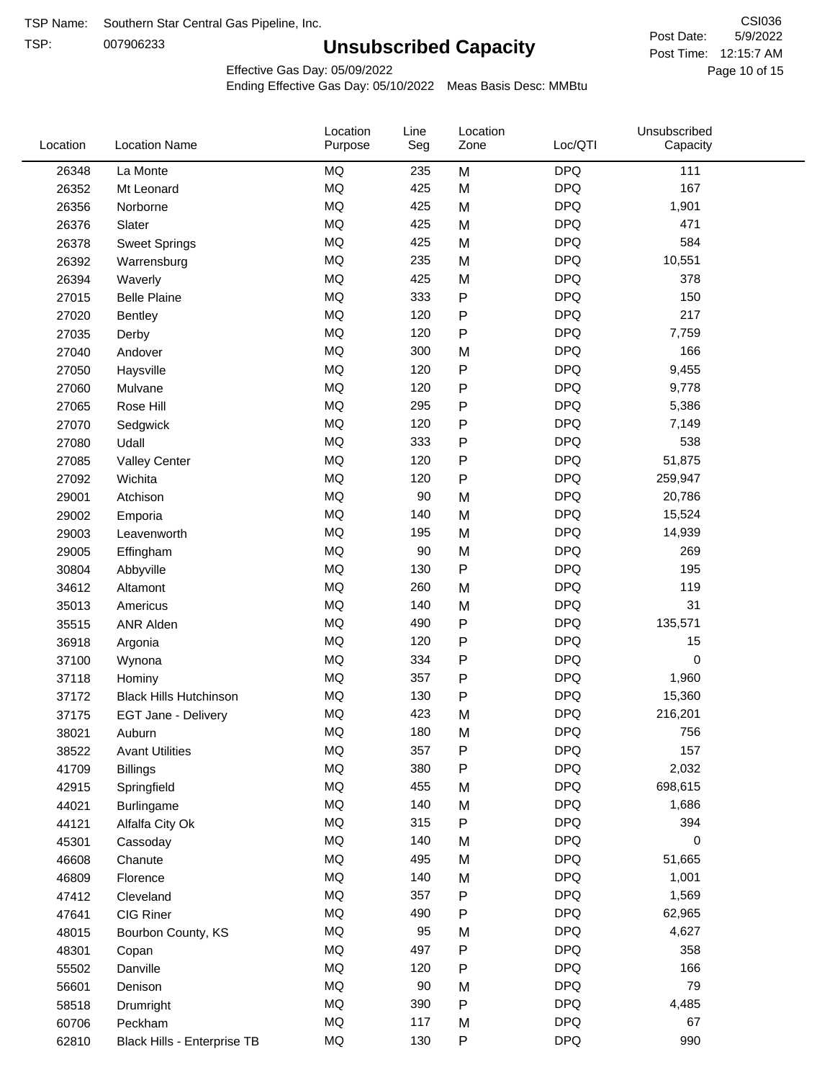TSP:

# **Unsubscribed Capacity**

5/9/2022 Page 10 of 15 Post Time: 12:15:7 AM CSI036 Post Date:

Effective Gas Day: 05/09/2022

| Location | <b>Location Name</b>          | Location<br>Purpose | Line<br>Seg | Location<br>Zone | Loc/QTI    | Unsubscribed<br>Capacity |  |
|----------|-------------------------------|---------------------|-------------|------------------|------------|--------------------------|--|
| 26348    | La Monte                      | <b>MQ</b>           | 235         | M                | <b>DPQ</b> | 111                      |  |
| 26352    | Mt Leonard                    | <b>MQ</b>           | 425         | M                | <b>DPQ</b> | 167                      |  |
| 26356    | Norborne                      | MQ                  | 425         | M                | <b>DPQ</b> | 1,901                    |  |
| 26376    | Slater                        | <b>MQ</b>           | 425         | M                | <b>DPQ</b> | 471                      |  |
| 26378    | <b>Sweet Springs</b>          | <b>MQ</b>           | 425         | M                | <b>DPQ</b> | 584                      |  |
| 26392    | Warrensburg                   | <b>MQ</b>           | 235         | M                | <b>DPQ</b> | 10,551                   |  |
| 26394    | Waverly                       | <b>MQ</b>           | 425         | M                | <b>DPQ</b> | 378                      |  |
| 27015    | <b>Belle Plaine</b>           | <b>MQ</b>           | 333         | ${\sf P}$        | <b>DPQ</b> | 150                      |  |
| 27020    | Bentley                       | <b>MQ</b>           | 120         | ${\sf P}$        | <b>DPQ</b> | 217                      |  |
| 27035    | Derby                         | <b>MQ</b>           | 120         | ${\sf P}$        | <b>DPQ</b> | 7,759                    |  |
| 27040    | Andover                       | <b>MQ</b>           | 300         | M                | <b>DPQ</b> | 166                      |  |
| 27050    | Haysville                     | <b>MQ</b>           | 120         | P                | <b>DPQ</b> | 9,455                    |  |
| 27060    | Mulvane                       | <b>MQ</b>           | 120         | P                | <b>DPQ</b> | 9,778                    |  |
| 27065    | Rose Hill                     | <b>MQ</b>           | 295         | P                | <b>DPQ</b> | 5,386                    |  |
| 27070    | Sedgwick                      | <b>MQ</b>           | 120         | P                | <b>DPQ</b> | 7,149                    |  |
| 27080    | Udall                         | <b>MQ</b>           | 333         | P                | <b>DPQ</b> | 538                      |  |
| 27085    | <b>Valley Center</b>          | <b>MQ</b>           | 120         | ${\sf P}$        | <b>DPQ</b> | 51,875                   |  |
| 27092    | Wichita                       | <b>MQ</b>           | 120         | ${\sf P}$        | <b>DPQ</b> | 259,947                  |  |
| 29001    | Atchison                      | <b>MQ</b>           | 90          | M                | <b>DPQ</b> | 20,786                   |  |
| 29002    | Emporia                       | <b>MQ</b>           | 140         | M                | <b>DPQ</b> | 15,524                   |  |
| 29003    | Leavenworth                   | <b>MQ</b>           | 195         | M                | <b>DPQ</b> | 14,939                   |  |
| 29005    | Effingham                     | <b>MQ</b>           | 90          | M                | <b>DPQ</b> | 269                      |  |
| 30804    | Abbyville                     | <b>MQ</b>           | 130         | ${\sf P}$        | <b>DPQ</b> | 195                      |  |
| 34612    | Altamont                      | <b>MQ</b>           | 260         | M                | <b>DPQ</b> | 119                      |  |
| 35013    | Americus                      | <b>MQ</b>           | 140         | M                | <b>DPQ</b> | 31                       |  |
| 35515    | <b>ANR Alden</b>              | <b>MQ</b>           | 490         | ${\sf P}$        | <b>DPQ</b> | 135,571                  |  |
| 36918    | Argonia                       | <b>MQ</b>           | 120         | P                | <b>DPQ</b> | 15                       |  |
| 37100    | Wynona                        | <b>MQ</b>           | 334         | P                | <b>DPQ</b> | 0                        |  |
| 37118    | Hominy                        | <b>MQ</b>           | 357         | P                | <b>DPQ</b> | 1,960                    |  |
| 37172    | <b>Black Hills Hutchinson</b> | <b>MQ</b>           | 130         | P                | <b>DPQ</b> | 15,360                   |  |
| 37175    | EGT Jane - Delivery           | MQ                  | 423         | M                | <b>DPQ</b> | 216,201                  |  |
| 38021    | Auburn                        | MQ                  | 180         | M                | <b>DPQ</b> | 756                      |  |
| 38522    | <b>Avant Utilities</b>        | MQ                  | 357         | P                | <b>DPQ</b> | 157                      |  |
| 41709    | <b>Billings</b>               | <b>MQ</b>           | 380         | P                | <b>DPQ</b> | 2,032                    |  |
| 42915    | Springfield                   | <b>MQ</b>           | 455         | M                | <b>DPQ</b> | 698,615                  |  |
| 44021    | <b>Burlingame</b>             | <b>MQ</b>           | 140         | M                | <b>DPQ</b> | 1,686                    |  |
| 44121    | Alfalfa City Ok               | <b>MQ</b>           | 315         | P                | <b>DPQ</b> | 394                      |  |
| 45301    | Cassoday                      | <b>MQ</b>           | 140         | M                | <b>DPQ</b> | 0                        |  |
| 46608    | Chanute                       | <b>MQ</b>           | 495         | M                | <b>DPQ</b> | 51,665                   |  |
| 46809    | Florence                      | <b>MQ</b>           | 140         | M                | <b>DPQ</b> | 1,001                    |  |
| 47412    | Cleveland                     | MQ                  | 357         | P                | <b>DPQ</b> | 1,569                    |  |
| 47641    | CIG Riner                     | MQ                  | 490         | P                | <b>DPQ</b> | 62,965                   |  |
| 48015    | Bourbon County, KS            | <b>MQ</b>           | 95          | M                | <b>DPQ</b> | 4,627                    |  |
| 48301    | Copan                         | <b>MQ</b>           | 497         | P                | <b>DPQ</b> | 358                      |  |
| 55502    | Danville                      | <b>MQ</b>           | 120         | ${\sf P}$        | <b>DPQ</b> | 166                      |  |
| 56601    | Denison                       | <b>MQ</b>           | 90          | M                | <b>DPQ</b> | 79                       |  |
| 58518    | Drumright                     | <b>MQ</b>           | 390         | ${\sf P}$        | <b>DPQ</b> | 4,485                    |  |
| 60706    | Peckham                       | <b>MQ</b>           | 117         | M                | <b>DPQ</b> | 67                       |  |
| 62810    | Black Hills - Enterprise TB   | <b>MQ</b>           | 130         | ${\sf P}$        | <b>DPQ</b> | 990                      |  |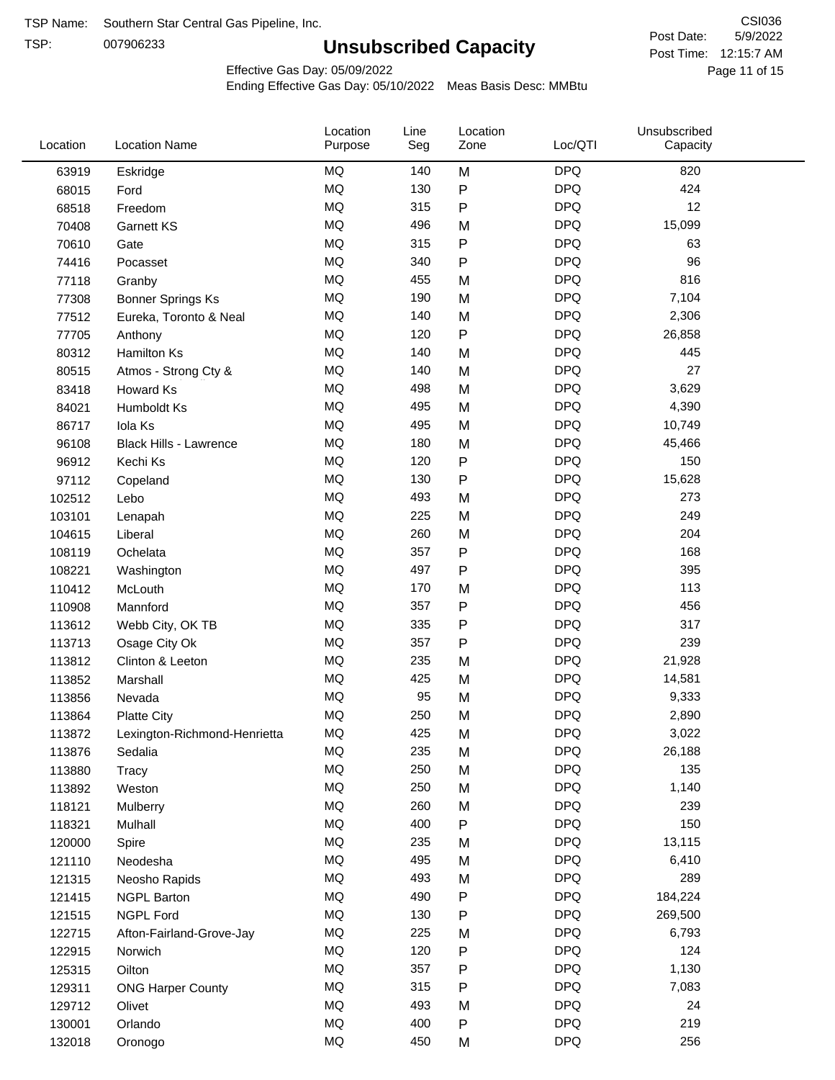TSP:

# **Unsubscribed Capacity**

5/9/2022 Page 11 of 15 Post Time: 12:15:7 AM CSI036 Post Date:

Effective Gas Day: 05/09/2022

| Location | <b>Location Name</b>          | Location<br>Purpose | Line<br>Seg | Location<br>Zone | Loc/QTI    | Unsubscribed<br>Capacity |  |
|----------|-------------------------------|---------------------|-------------|------------------|------------|--------------------------|--|
| 63919    | Eskridge                      | <b>MQ</b>           | 140         | M                | <b>DPQ</b> | 820                      |  |
| 68015    | Ford                          | MQ                  | 130         | ${\sf P}$        | <b>DPQ</b> | 424                      |  |
| 68518    | Freedom                       | <b>MQ</b>           | 315         | ${\sf P}$        | <b>DPQ</b> | 12                       |  |
| 70408    | <b>Garnett KS</b>             | <b>MQ</b>           | 496         | M                | <b>DPQ</b> | 15,099                   |  |
| 70610    | Gate                          | <b>MQ</b>           | 315         | $\sf P$          | <b>DPQ</b> | 63                       |  |
| 74416    | Pocasset                      | <b>MQ</b>           | 340         | $\mathsf{P}$     | <b>DPQ</b> | 96                       |  |
| 77118    | Granby                        | MQ                  | 455         | M                | <b>DPQ</b> | 816                      |  |
| 77308    | <b>Bonner Springs Ks</b>      | <b>MQ</b>           | 190         | M                | <b>DPQ</b> | 7,104                    |  |
| 77512    | Eureka, Toronto & Neal        | <b>MQ</b>           | 140         | M                | <b>DPQ</b> | 2,306                    |  |
| 77705    | Anthony                       | <b>MQ</b>           | 120         | $\sf P$          | <b>DPQ</b> | 26,858                   |  |
| 80312    | <b>Hamilton Ks</b>            | <b>MQ</b>           | 140         | M                | <b>DPQ</b> | 445                      |  |
| 80515    | Atmos - Strong Cty &          | MQ                  | 140         | M                | <b>DPQ</b> | 27                       |  |
| 83418    | Howard Ks                     | MQ                  | 498         | M                | <b>DPQ</b> | 3,629                    |  |
| 84021    | Humboldt Ks                   | <b>MQ</b>           | 495         | M                | <b>DPQ</b> | 4,390                    |  |
| 86717    | Iola Ks                       | <b>MQ</b>           | 495         | M                | <b>DPQ</b> | 10,749                   |  |
| 96108    | <b>Black Hills - Lawrence</b> | MQ                  | 180         | M                | <b>DPQ</b> | 45,466                   |  |
| 96912    | Kechi Ks                      | <b>MQ</b>           | 120         | ${\sf P}$        | <b>DPQ</b> | 150                      |  |
| 97112    | Copeland                      | <b>MQ</b>           | 130         | P                | <b>DPQ</b> | 15,628                   |  |
| 102512   | Lebo                          | <b>MQ</b>           | 493         | M                | <b>DPQ</b> | 273                      |  |
| 103101   | Lenapah                       | <b>MQ</b>           | 225         | M                | <b>DPQ</b> | 249                      |  |
| 104615   | Liberal                       | MQ                  | 260         | M                | <b>DPQ</b> | 204                      |  |
| 108119   | Ochelata                      | <b>MQ</b>           | 357         | ${\sf P}$        | <b>DPQ</b> | 168                      |  |
| 108221   | Washington                    | <b>MQ</b>           | 497         | $\mathsf{P}$     | <b>DPQ</b> | 395                      |  |
| 110412   | McLouth                       | <b>MQ</b>           | 170         | M                | <b>DPQ</b> | 113                      |  |
| 110908   | Mannford                      | <b>MQ</b>           | 357         | Ρ                | <b>DPQ</b> | 456                      |  |
| 113612   | Webb City, OK TB              | <b>MQ</b>           | 335         | $\mathsf{P}$     | <b>DPQ</b> | 317                      |  |
| 113713   | Osage City Ok                 | <b>MQ</b>           | 357         | P                | <b>DPQ</b> | 239                      |  |
| 113812   | Clinton & Leeton              | MQ                  | 235         | M                | <b>DPQ</b> | 21,928                   |  |
| 113852   | Marshall                      | MQ                  | 425         | M                | <b>DPQ</b> | 14,581                   |  |
| 113856   | Nevada                        | MQ                  | 95          | M                | <b>DPQ</b> | 9,333                    |  |
| 113864   | <b>Platte City</b>            | MQ                  | 250         | M                | <b>DPQ</b> | 2,890                    |  |
| 113872   | Lexington-Richmond-Henrietta  | MQ                  | 425         | M                | <b>DPQ</b> | 3,022                    |  |
| 113876   | Sedalia                       | ΜQ                  | 235         | M                | <b>DPQ</b> | 26,188                   |  |
| 113880   | Tracy                         | MQ                  | 250         | M                | <b>DPQ</b> | 135                      |  |
| 113892   | Weston                        | MQ                  | 250         | M                | <b>DPQ</b> | 1,140                    |  |
| 118121   | Mulberry                      | MQ                  | 260         | M                | <b>DPQ</b> | 239                      |  |
| 118321   | Mulhall                       | MQ                  | 400         | ${\sf P}$        | <b>DPQ</b> | 150                      |  |
| 120000   | Spire                         | MQ                  | 235         | M                | <b>DPQ</b> | 13,115                   |  |
| 121110   | Neodesha                      | MQ                  | 495         | M                | <b>DPQ</b> | 6,410                    |  |
| 121315   | Neosho Rapids                 | MQ                  | 493         | M                | <b>DPQ</b> | 289                      |  |
| 121415   | <b>NGPL Barton</b>            | MQ                  | 490         | P                | <b>DPQ</b> | 184,224                  |  |
| 121515   | <b>NGPL Ford</b>              | MQ                  | 130         | ${\sf P}$        | <b>DPQ</b> | 269,500                  |  |
| 122715   | Afton-Fairland-Grove-Jay      | MQ                  | 225         | M                | <b>DPQ</b> | 6,793                    |  |
| 122915   | Norwich                       | MQ                  | 120         | ${\sf P}$        | <b>DPQ</b> | 124                      |  |
| 125315   | Oilton                        | MQ                  | 357         | ${\sf P}$        | <b>DPQ</b> | 1,130                    |  |
| 129311   | <b>ONG Harper County</b>      | MQ                  | 315         | P                | <b>DPQ</b> | 7,083                    |  |
| 129712   | Olivet                        | MQ                  | 493         | M                | <b>DPQ</b> | 24                       |  |
| 130001   | Orlando                       | MQ                  | 400         | P                | <b>DPQ</b> | 219                      |  |
| 132018   | Oronogo                       | $\sf{MQ}$           | 450         | M                | <b>DPQ</b> | 256                      |  |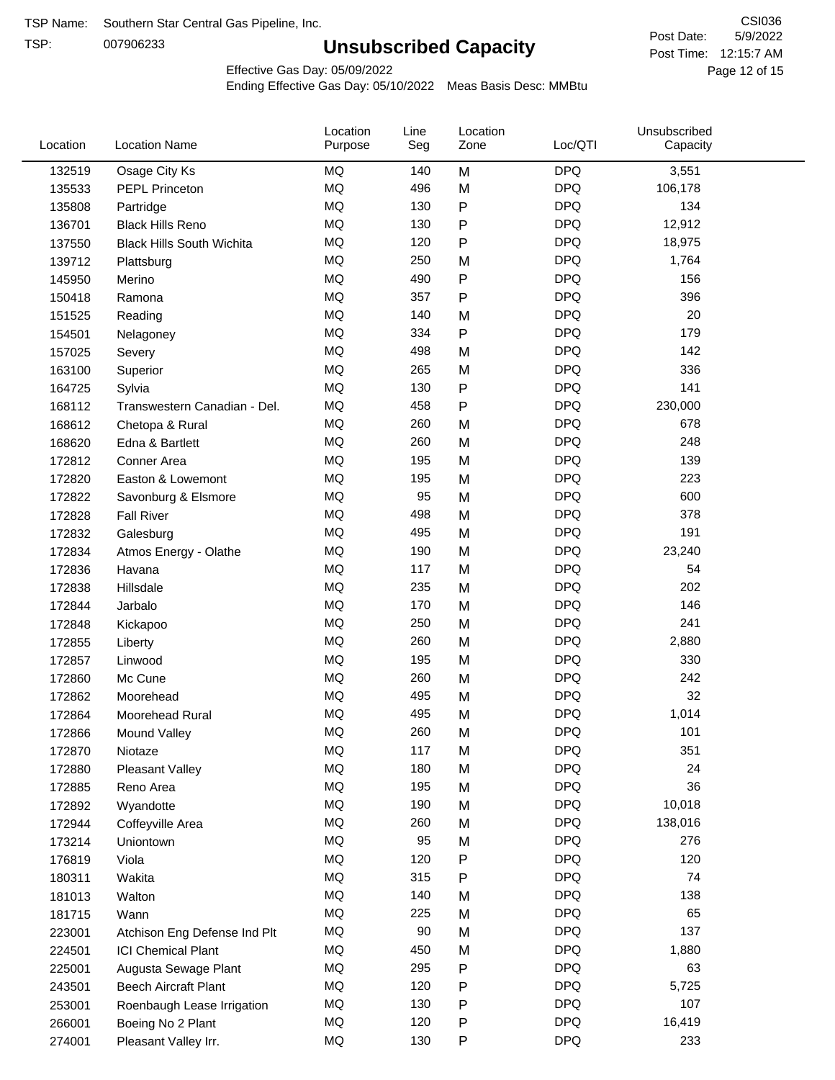TSP:

# **Unsubscribed Capacity**

5/9/2022 Page 12 of 15 Post Time: 12:15:7 AM CSI036 Post Date:

Effective Gas Day: 05/09/2022

| Location | <b>Location Name</b>             | Location<br>Purpose | Line<br>Seg | Location<br>Zone | Loc/QTI    | Unsubscribed<br>Capacity |  |
|----------|----------------------------------|---------------------|-------------|------------------|------------|--------------------------|--|
| 132519   | Osage City Ks                    | MQ                  | 140         | M                | <b>DPQ</b> | 3,551                    |  |
| 135533   | <b>PEPL Princeton</b>            | MQ                  | 496         | M                | <b>DPQ</b> | 106,178                  |  |
| 135808   | Partridge                        | MQ                  | 130         | P                | <b>DPQ</b> | 134                      |  |
| 136701   | <b>Black Hills Reno</b>          | <b>MQ</b>           | 130         | Ρ                | <b>DPQ</b> | 12,912                   |  |
| 137550   | <b>Black Hills South Wichita</b> | <b>MQ</b>           | 120         | Ρ                | <b>DPQ</b> | 18,975                   |  |
| 139712   | Plattsburg                       | <b>MQ</b>           | 250         | M                | <b>DPQ</b> | 1,764                    |  |
| 145950   | Merino                           | <b>MQ</b>           | 490         | Ρ                | <b>DPQ</b> | 156                      |  |
| 150418   | Ramona                           | <b>MQ</b>           | 357         | P                | <b>DPQ</b> | 396                      |  |
| 151525   | Reading                          | MQ                  | 140         | M                | <b>DPQ</b> | 20                       |  |
| 154501   | Nelagoney                        | <b>MQ</b>           | 334         | $\mathsf{P}$     | <b>DPQ</b> | 179                      |  |
| 157025   | Severy                           | <b>MQ</b>           | 498         | M                | <b>DPQ</b> | 142                      |  |
| 163100   | Superior                         | <b>MQ</b>           | 265         | M                | <b>DPQ</b> | 336                      |  |
| 164725   | Sylvia                           | <b>MQ</b>           | 130         | P                | <b>DPQ</b> | 141                      |  |
| 168112   | Transwestern Canadian - Del.     | <b>MQ</b>           | 458         | Ρ                | <b>DPQ</b> | 230,000                  |  |
| 168612   | Chetopa & Rural                  | <b>MQ</b>           | 260         | M                | <b>DPQ</b> | 678                      |  |
| 168620   | Edna & Bartlett                  | <b>MQ</b>           | 260         | M                | <b>DPQ</b> | 248                      |  |
| 172812   | Conner Area                      | MQ                  | 195         | M                | <b>DPQ</b> | 139                      |  |
| 172820   | Easton & Lowemont                | MQ                  | 195         | M                | <b>DPQ</b> | 223                      |  |
| 172822   | Savonburg & Elsmore              | <b>MQ</b>           | 95          | M                | <b>DPQ</b> | 600                      |  |
| 172828   | <b>Fall River</b>                | <b>MQ</b>           | 498         | M                | <b>DPQ</b> | 378                      |  |
| 172832   | Galesburg                        | <b>MQ</b>           | 495         | M                | <b>DPQ</b> | 191                      |  |
| 172834   | Atmos Energy - Olathe            | <b>MQ</b>           | 190         | M                | <b>DPQ</b> | 23,240                   |  |
| 172836   | Havana                           | <b>MQ</b>           | 117         | M                | <b>DPQ</b> | 54                       |  |
| 172838   | Hillsdale                        | <b>MQ</b>           | 235         | M                | <b>DPQ</b> | 202                      |  |
| 172844   | Jarbalo                          | <b>MQ</b>           | 170         | M                | <b>DPQ</b> | 146                      |  |
| 172848   | Kickapoo                         | <b>MQ</b>           | 250         | M                | <b>DPQ</b> | 241                      |  |
| 172855   | Liberty                          | <b>MQ</b>           | 260         | M                | <b>DPQ</b> | 2,880                    |  |
| 172857   | Linwood                          | <b>MQ</b>           | 195         | M                | <b>DPQ</b> | 330                      |  |
| 172860   | Mc Cune                          | <b>MQ</b>           | 260         | M                | <b>DPQ</b> | 242                      |  |
| 172862   | Moorehead                        | <b>MQ</b>           | 495         | M                | <b>DPQ</b> | 32                       |  |
| 172864   | Moorehead Rural                  | <b>MQ</b>           | 495         | M                | <b>DPQ</b> | 1,014                    |  |
| 172866   | Mound Valley                     | MQ                  | 260         | M                | <b>DPQ</b> | 101                      |  |
| 172870   | Niotaze                          | MQ                  | 117         | M                | <b>DPQ</b> | 351                      |  |
| 172880   | Pleasant Valley                  | <b>MQ</b>           | 180         | M                | <b>DPQ</b> | 24                       |  |
| 172885   | Reno Area                        | MQ                  | 195         | M                | <b>DPQ</b> | 36                       |  |
| 172892   | Wyandotte                        | <b>MQ</b>           | 190         | M                | <b>DPQ</b> | 10,018                   |  |
| 172944   | Coffeyville Area                 | <b>MQ</b>           | 260         | M                | <b>DPQ</b> | 138,016                  |  |
| 173214   | Uniontown                        | <b>MQ</b>           | 95          | M                | <b>DPQ</b> | 276                      |  |
| 176819   | Viola                            | <b>MQ</b>           | 120         | Ρ                | <b>DPQ</b> | 120                      |  |
| 180311   | Wakita                           | <b>MQ</b>           | 315         | Ρ                | <b>DPQ</b> | 74                       |  |
| 181013   | Walton                           | MQ                  | 140         | M                | <b>DPQ</b> | 138                      |  |
| 181715   | Wann                             | <b>MQ</b>           | 225         | M                | <b>DPQ</b> | 65                       |  |
| 223001   | Atchison Eng Defense Ind Plt     | <b>MQ</b>           | 90          | M                | <b>DPQ</b> | 137                      |  |
| 224501   | <b>ICI Chemical Plant</b>        | <b>MQ</b>           | 450         | M                | <b>DPQ</b> | 1,880                    |  |
| 225001   | Augusta Sewage Plant             | MQ                  | 295         | Ρ                | <b>DPQ</b> | 63                       |  |
| 243501   | <b>Beech Aircraft Plant</b>      | MQ                  | 120         | Ρ                | <b>DPQ</b> | 5,725                    |  |
| 253001   | Roenbaugh Lease Irrigation       | MQ                  | 130         | Ρ                | <b>DPQ</b> | 107                      |  |
| 266001   | Boeing No 2 Plant                | MQ                  | 120         | Ρ                | <b>DPQ</b> | 16,419                   |  |
| 274001   | Pleasant Valley Irr.             | <b>MQ</b>           | 130         | P                | <b>DPQ</b> | 233                      |  |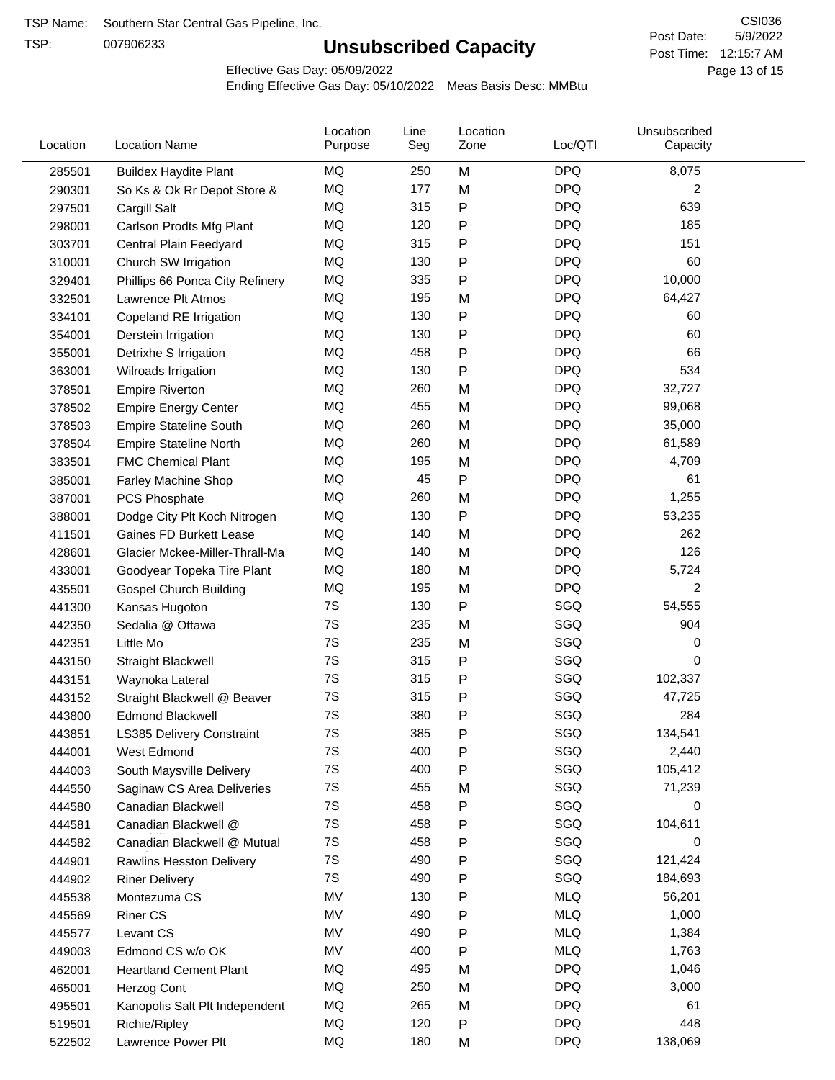TSP:

# **Unsubscribed Capacity**

5/9/2022 Page 13 of 15 Post Time: 12:15:7 AM CSI036 Post Date:

Effective Gas Day: 05/09/2022

| Location | <b>Location Name</b>            | Location<br>Purpose | Line<br>Seg | Location<br>Zone | Loc/QTI    | Unsubscribed<br>Capacity |  |
|----------|---------------------------------|---------------------|-------------|------------------|------------|--------------------------|--|
| 285501   | <b>Buildex Haydite Plant</b>    | MQ                  | 250         | M                | <b>DPQ</b> | 8,075                    |  |
| 290301   | So Ks & Ok Rr Depot Store &     | <b>MQ</b>           | 177         | M                | <b>DPQ</b> | 2                        |  |
| 297501   | Cargill Salt                    | <b>MQ</b>           | 315         | P                | <b>DPQ</b> | 639                      |  |
| 298001   | Carlson Prodts Mfg Plant        | <b>MQ</b>           | 120         | P                | <b>DPQ</b> | 185                      |  |
| 303701   | Central Plain Feedyard          | <b>MQ</b>           | 315         | Ρ                | <b>DPQ</b> | 151                      |  |
| 310001   | Church SW Irrigation            | MQ                  | 130         | P                | <b>DPQ</b> | 60                       |  |
| 329401   | Phillips 66 Ponca City Refinery | MQ                  | 335         | Ρ                | <b>DPQ</b> | 10,000                   |  |
| 332501   | Lawrence Plt Atmos              | MQ                  | 195         | M                | <b>DPQ</b> | 64,427                   |  |
| 334101   | Copeland RE Irrigation          | MQ                  | 130         | P                | <b>DPQ</b> | 60                       |  |
| 354001   | Derstein Irrigation             | MQ                  | 130         | P                | <b>DPQ</b> | 60                       |  |
| 355001   | Detrixhe S Irrigation           | MQ                  | 458         | P                | <b>DPQ</b> | 66                       |  |
| 363001   | Wilroads Irrigation             | MQ                  | 130         | Ρ                | <b>DPQ</b> | 534                      |  |
| 378501   | <b>Empire Riverton</b>          | MQ                  | 260         | M                | <b>DPQ</b> | 32,727                   |  |
| 378502   | <b>Empire Energy Center</b>     | MQ                  | 455         | M                | <b>DPQ</b> | 99,068                   |  |
| 378503   | <b>Empire Stateline South</b>   | MQ                  | 260         | M                | <b>DPQ</b> | 35,000                   |  |
| 378504   | <b>Empire Stateline North</b>   | MQ                  | 260         | M                | <b>DPQ</b> | 61,589                   |  |
| 383501   | <b>FMC Chemical Plant</b>       | <b>MQ</b>           | 195         | M                | <b>DPQ</b> | 4,709                    |  |
| 385001   | Farley Machine Shop             | <b>MQ</b>           | 45          | P                | <b>DPQ</b> | 61                       |  |
| 387001   | PCS Phosphate                   | MQ                  | 260         | M                | <b>DPQ</b> | 1,255                    |  |
| 388001   | Dodge City Plt Koch Nitrogen    | MQ                  | 130         | Ρ                | <b>DPQ</b> | 53,235                   |  |
| 411501   | Gaines FD Burkett Lease         | MQ                  | 140         | M                | <b>DPQ</b> | 262                      |  |
| 428601   | Glacier Mckee-Miller-Thrall-Ma  | MQ                  | 140         | M                | <b>DPQ</b> | 126                      |  |
| 433001   | Goodyear Topeka Tire Plant      | MQ                  | 180         | M                | <b>DPQ</b> | 5,724                    |  |
| 435501   | <b>Gospel Church Building</b>   | MQ                  | 195         | M                | <b>DPQ</b> | 2                        |  |
| 441300   | Kansas Hugoton                  | 7S                  | 130         | P                | SGQ        | 54,555                   |  |
| 442350   | Sedalia @ Ottawa                | 7S                  | 235         | M                | SGQ        | 904                      |  |
| 442351   | Little Mo                       | 7S                  | 235         | M                | SGQ        | 0                        |  |
| 443150   | <b>Straight Blackwell</b>       | 7S                  | 315         | Ρ                | SGQ        | 0                        |  |
| 443151   | Waynoka Lateral                 | 7S                  | 315         | P                | SGQ        | 102,337                  |  |
| 443152   | Straight Blackwell @ Beaver     | 7S                  | 315         | P                | SGQ        | 47,725                   |  |
| 443800   | <b>Edmond Blackwell</b>         | 7S                  | 380         | Ρ                | SGQ        | 284                      |  |
| 443851   | LS385 Delivery Constraint       | 7S                  | 385         | P                | SGQ        | 134,541                  |  |
| 444001   | West Edmond                     | 7S                  | 400         | P                | SGQ        | 2,440                    |  |
| 444003   | South Maysville Delivery        | 7S                  | 400         | P                | SGQ        | 105,412                  |  |
| 444550   | Saginaw CS Area Deliveries      | 7S                  | 455         | M                | SGQ        | 71,239                   |  |
| 444580   | Canadian Blackwell              | 7S                  | 458         | P                | SGQ        | 0                        |  |
| 444581   | Canadian Blackwell @            | 7S                  | 458         | P                | SGQ        | 104,611                  |  |
| 444582   | Canadian Blackwell @ Mutual     | 7S                  | 458         | P                | SGQ        | 0                        |  |
| 444901   | Rawlins Hesston Delivery        | 7S                  | 490         | Ρ                | SGQ        | 121,424                  |  |
| 444902   | <b>Riner Delivery</b>           | 7S                  | 490         | Ρ                | SGQ        | 184,693                  |  |
| 445538   | Montezuma CS                    | MV                  | 130         | P                | <b>MLQ</b> | 56,201                   |  |
| 445569   | <b>Riner CS</b>                 | MV                  | 490         | P                | <b>MLQ</b> | 1,000                    |  |
| 445577   | Levant CS                       | MV                  | 490         | P                | <b>MLQ</b> | 1,384                    |  |
| 449003   | Edmond CS w/o OK                | MV                  | 400         | Ρ                | <b>MLQ</b> | 1,763                    |  |
| 462001   | <b>Heartland Cement Plant</b>   | MQ                  | 495         | M                | <b>DPQ</b> | 1,046                    |  |
| 465001   | Herzog Cont                     | MQ                  | 250         | M                | <b>DPQ</b> | 3,000                    |  |
| 495501   | Kanopolis Salt Plt Independent  | MQ                  | 265         | M                | <b>DPQ</b> | 61                       |  |
| 519501   | Richie/Ripley                   | MQ                  | 120         | P                | <b>DPQ</b> | 448                      |  |
| 522502   | Lawrence Power Plt              | MQ                  | 180         | M                | <b>DPQ</b> | 138,069                  |  |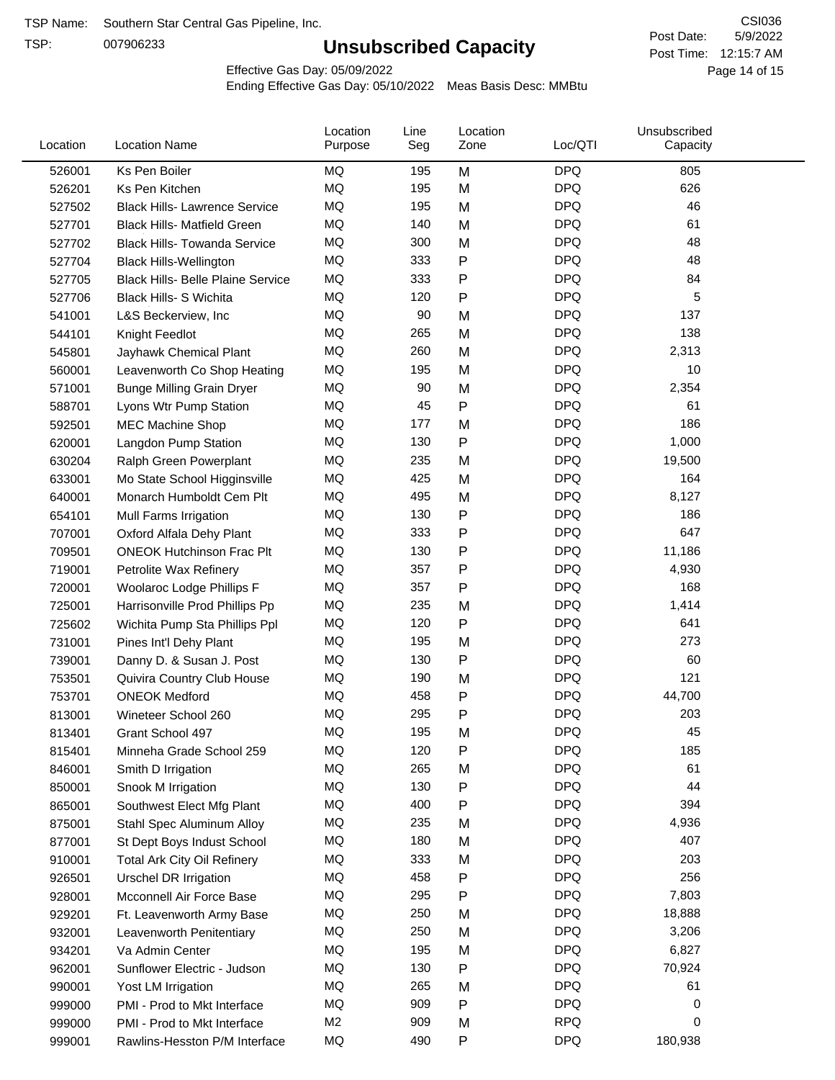TSP:

# **Unsubscribed Capacity**

5/9/2022 Page 14 of 15 Post Time: 12:15:7 AM CSI036 Post Date:

Effective Gas Day: 05/09/2022

| Location | <b>Location Name</b>                     | Location<br>Purpose | Line<br>Seg | Location<br>Zone | Loc/QTI    | Unsubscribed<br>Capacity |  |
|----------|------------------------------------------|---------------------|-------------|------------------|------------|--------------------------|--|
| 526001   | Ks Pen Boiler                            | MQ                  | 195         | M                | <b>DPQ</b> | 805                      |  |
| 526201   | Ks Pen Kitchen                           | MQ                  | 195         | M                | <b>DPQ</b> | 626                      |  |
| 527502   | <b>Black Hills- Lawrence Service</b>     | MQ                  | 195         | M                | <b>DPQ</b> | 46                       |  |
| 527701   | <b>Black Hills- Matfield Green</b>       | MQ                  | 140         | M                | <b>DPQ</b> | 61                       |  |
| 527702   | <b>Black Hills- Towanda Service</b>      | <b>MQ</b>           | 300         | M                | <b>DPQ</b> | 48                       |  |
| 527704   | <b>Black Hills-Wellington</b>            | MQ                  | 333         | P                | <b>DPQ</b> | 48                       |  |
| 527705   | <b>Black Hills- Belle Plaine Service</b> | MQ                  | 333         | P                | <b>DPQ</b> | 84                       |  |
| 527706   | Black Hills- S Wichita                   | MQ                  | 120         | P                | <b>DPQ</b> | 5                        |  |
| 541001   | L&S Beckerview, Inc.                     | MQ                  | 90          | M                | <b>DPQ</b> | 137                      |  |
| 544101   | Knight Feedlot                           | <b>MQ</b>           | 265         | M                | <b>DPQ</b> | 138                      |  |
| 545801   | Jayhawk Chemical Plant                   | MQ                  | 260         | M                | <b>DPQ</b> | 2,313                    |  |
| 560001   | Leavenworth Co Shop Heating              | MQ                  | 195         | M                | <b>DPQ</b> | 10                       |  |
| 571001   | <b>Bunge Milling Grain Dryer</b>         | MQ                  | 90          | M                | <b>DPQ</b> | 2,354                    |  |
| 588701   | Lyons Wtr Pump Station                   | <b>MQ</b>           | 45          | P                | <b>DPQ</b> | 61                       |  |
| 592501   | <b>MEC Machine Shop</b>                  | MQ                  | 177         | M                | <b>DPQ</b> | 186                      |  |
| 620001   | Langdon Pump Station                     | MQ                  | 130         | P                | <b>DPQ</b> | 1,000                    |  |
| 630204   | Ralph Green Powerplant                   | MQ                  | 235         | M                | <b>DPQ</b> | 19,500                   |  |
| 633001   | Mo State School Higginsville             | MQ                  | 425         | M                | <b>DPQ</b> | 164                      |  |
| 640001   | Monarch Humboldt Cem Plt                 | MQ                  | 495         | M                | <b>DPQ</b> | 8,127                    |  |
| 654101   | Mull Farms Irrigation                    | MQ                  | 130         | Ρ                | <b>DPQ</b> | 186                      |  |
| 707001   | Oxford Alfala Dehy Plant                 | MQ                  | 333         | P                | <b>DPQ</b> | 647                      |  |
| 709501   | <b>ONEOK Hutchinson Frac Plt</b>         | MQ                  | 130         | Ρ                | <b>DPQ</b> | 11,186                   |  |
| 719001   | Petrolite Wax Refinery                   | MQ                  | 357         | Ρ                | <b>DPQ</b> | 4,930                    |  |
| 720001   | Woolaroc Lodge Phillips F                | <b>MQ</b>           | 357         | P                | <b>DPQ</b> | 168                      |  |
| 725001   | Harrisonville Prod Phillips Pp           | MQ                  | 235         | M                | <b>DPQ</b> | 1,414                    |  |
| 725602   | Wichita Pump Sta Phillips Ppl            | MQ                  | 120         | P                | <b>DPQ</b> | 641                      |  |
| 731001   | Pines Int'l Dehy Plant                   | MQ                  | 195         | M                | <b>DPQ</b> | 273                      |  |
| 739001   | Danny D. & Susan J. Post                 | MQ                  | 130         | P                | <b>DPQ</b> | 60                       |  |
| 753501   | Quivira Country Club House               | MQ                  | 190         | M                | <b>DPQ</b> | 121                      |  |
| 753701   | <b>ONEOK Medford</b>                     | MQ                  | 458         | P                | <b>DPQ</b> | 44,700                   |  |
| 813001   | Wineteer School 260                      | MQ                  | 295         | P                | <b>DPQ</b> | 203                      |  |
| 813401   | Grant School 497                         | MQ                  | 195         | M                | <b>DPQ</b> | 45                       |  |
| 815401   | Minneha Grade School 259                 | ΜQ                  | 120         | Ρ                | <b>DPQ</b> | 185                      |  |
| 846001   | Smith D Irrigation                       | MQ                  | 265         | M                | <b>DPQ</b> | 61                       |  |
| 850001   | Snook M Irrigation                       | MQ                  | 130         | P                | <b>DPQ</b> | 44                       |  |
| 865001   | Southwest Elect Mfg Plant                | MQ                  | 400         | P                | <b>DPQ</b> | 394                      |  |
| 875001   | Stahl Spec Aluminum Alloy                | MQ                  | 235         | M                | <b>DPQ</b> | 4,936                    |  |
| 877001   | St Dept Boys Indust School               | MQ                  | 180         | M                | <b>DPQ</b> | 407                      |  |
| 910001   | <b>Total Ark City Oil Refinery</b>       | MQ                  | 333         | M                | <b>DPQ</b> | 203                      |  |
| 926501   | <b>Urschel DR Irrigation</b>             | MQ                  | 458         | P                | <b>DPQ</b> | 256                      |  |
| 928001   | Mcconnell Air Force Base                 | MQ                  | 295         | P                | <b>DPQ</b> | 7,803                    |  |
| 929201   | Ft. Leavenworth Army Base                | MQ                  | 250         | M                | <b>DPQ</b> | 18,888                   |  |
| 932001   | Leavenworth Penitentiary                 | MQ                  | 250         | M                | <b>DPQ</b> | 3,206                    |  |
| 934201   | Va Admin Center                          | MQ                  | 195         | M                | <b>DPQ</b> | 6,827                    |  |
| 962001   | Sunflower Electric - Judson              | MQ                  | 130         | P                | <b>DPQ</b> | 70,924                   |  |
| 990001   | Yost LM Irrigation                       | MQ                  | 265         | M                | <b>DPQ</b> | 61                       |  |
| 999000   | PMI - Prod to Mkt Interface              | MQ                  | 909         | P                | <b>DPQ</b> | 0                        |  |
| 999000   | PMI - Prod to Mkt Interface              | M <sub>2</sub>      | 909         | M                | <b>RPQ</b> | 0                        |  |
| 999001   | Rawlins-Hesston P/M Interface            | MQ                  | 490         | P                | <b>DPQ</b> | 180,938                  |  |